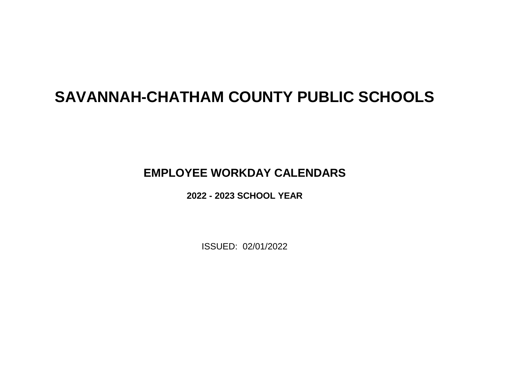# **SAVANNAH-CHATHAM COUNTY PUBLIC SCHOOLS**

## **EMPLOYEE WORKDAY CALENDARS**

**2022 - 2023 SCHOOL YEAR**

ISSUED: 02/01/2022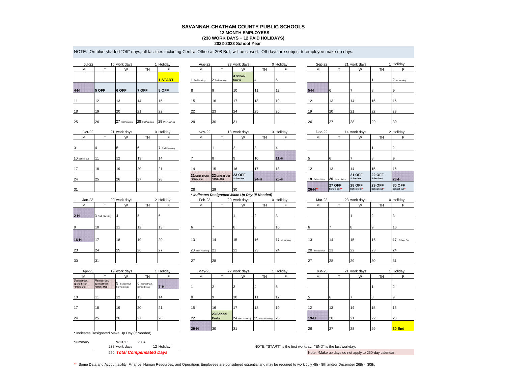## **2022-2023 School Year SAVANNAH-CHATHAM COUNTY PUBLIC SCHOOLS 12 MONTH EMPLOYEES (238 WORK DAYS + 12 PAID HOLIDAYS)**

NOTE: On blue shaded "Off" days, all facilities including Central Office at 208 Bull, will be closed. Off days are subject to employee make up days.

| <b>Jul-22</b> |       | 16 work days   |                | 1 Holiday      |
|---------------|-------|----------------|----------------|----------------|
| M             |       | W              | TН             | F              |
|               |       |                |                | <b>1 START</b> |
| $4-H$         | 5 OFF | 6 OFF          | 7 OFF          | 8 OFF          |
| 11            | 12    | 13             | 14             | 15             |
| 18            | 19    | 20             | 21             | 22             |
| 25            | 26    | 27 PrePlanning | 28 PrePlanning | 29 PrePlanning |

| Jul-22 |       | 16 work days                                 |       | Holiday | Aug-22        |               | 23 work days              |           | 0 Holiday | Sep-22 |    | 21 work days |           | Holiday      |
|--------|-------|----------------------------------------------|-------|---------|---------------|---------------|---------------------------|-----------|-----------|--------|----|--------------|-----------|--------------|
| М      |       | W                                            | TH    |         | M             |               | W                         | <b>TH</b> |           | М      |    | W            | TH        |              |
|        |       |                                              |       | 1 START | 1 PrePlanning | 2 PrePlanning | 3 School<br><b>starts</b> |           |           |        |    |              |           | 2 e-Learning |
| $4-H$  | 5 OFF | 6 OFF                                        | 7 OFF | 8 OFF   |               | 10            | 10                        |           | 12        | $5-H$  |    |              |           |              |
| 11     | 12    | 13                                           | 14    | 15      | 15            | 16            | 17                        | 18        | 19        | 12     | 13 | 14           | 15        | 16           |
| 18     | 19    | 20                                           | 21    | 22      | 22            | 23            | 24                        | 25        | 26        | 19     | 20 | 21           | <b>22</b> | 23           |
| 25     | 26    | 27 PrePlanning 28 PrePlanning 29 PrePlanning |       |         | 29            | 30            | 31                        |           |           | 26     | 27 | 28           | 29        | 30           |

| work aayo                 |    | $v$ . $v$ $u$ $u$ $y$ | $\cup$ |    | LI WUIN UUYU |    | $\cdots$       |
|---------------------------|----|-----------------------|--------|----|--------------|----|----------------|
| W                         | TН |                       | М      |    | W            | TН |                |
| 3 School<br><b>starts</b> | 4  | 5                     |        |    |              |    | 2 e-Learning   |
| 10                        | 11 | 12                    | $5-H$  | 16 |              | 8  | $\overline{9}$ |
| 17                        | 18 | 19                    | 12     | 13 | 14           | 15 | 16             |
| 24                        | 25 | 26                    | 19     | 20 | 21           | 22 | 23             |
| 31                        |    |                       | 26     | 27 | 28           | 29 | $30^{\circ}$   |

| $Oct-22$      |     | 21 work days |           | 0 Holiday        | <b>Nov-22</b> |                                                   | 18 work days |        | 3 Holiday | Dec-22                      |                              | 14 work days                  |                               | 2 Holiday             |
|---------------|-----|--------------|-----------|------------------|---------------|---------------------------------------------------|--------------|--------|-----------|-----------------------------|------------------------------|-------------------------------|-------------------------------|-----------------------|
| м             |     | W            | <b>TH</b> |                  | м             |                                                   | W            | TH     |           | M                           |                              | W                             | TH                            |                       |
| 3             |     |              |           | 7 Staff Planning |               |                                                   |              |        |           |                             |                              |                               |                               |                       |
| 10 School out | 111 | 12           | 13        | 14               |               |                                                   | 19           | 10     | $11-H$    |                             | Ib                           |                               |                               |                       |
| 17            | 18  | 19           | 20        | 21               | 14            | 15                                                | 16           | 117    | 18        | 12                          | 13                           | 14                            | 15                            | 16                    |
| 24            | 25  | 26           | 27        | 28               | * (Make Up)   | 21 School Out 22 School Out 23 OFF<br>* (Make Up) | School out   | $24-H$ | $25-H$    | 19 School Out 20 School Out |                              | <b>21 OFF</b><br>School out   | <b>22 OFF</b><br>School out   | $23-H$                |
| 31            |     |              |           |                  | 28            | 29                                                | 30           |        |           | $26 - H***$                 | <b>27 OFF</b><br>School out" | <b>28 OFF</b><br>School out** | <b>29 OFF</b><br>School out** | 30 OFF<br>School out' |

| $Jan-23$ |                  | 20 work days |    | 2 Holiday |
|----------|------------------|--------------|----|-----------|
| M        |                  | W            | TH | F         |
| $2-H$    | 3 Staff Planning | 4            | 5  | 6         |
| 9        | 10               | 11           | 12 | 13        |
| $16-H$   | 17               | 18           | 19 | 20        |
| 23       | 24               | 25           | 26 | 27        |
| 30       | 31               |              |    |           |

| 24       | 25               | 26           | 27 | 28        | 21 School Out 22 School Out<br>(Make Up) | * (Make Up)                                    | <b>23 OFF</b><br>School out | $24-H$ | $125-H$       | $19$ Scho |
|----------|------------------|--------------|----|-----------|------------------------------------------|------------------------------------------------|-----------------------------|--------|---------------|-----------|
| 31       |                  |              |    |           | 28                                       | 29                                             | 30                          |        |               | 26-H**    |
|          |                  |              |    |           |                                          | * Indicates Designated Make Up Day (If Needed) |                             |        |               |           |
| $Jan-23$ |                  | 20 work days |    | 2 Holidav | Feb-23                                   |                                                | 20 work days                |        | 0 Holidav     | N         |
| M        |                  | W            | TН | F         | М                                        |                                                | W                           | TН     | F             | N         |
| $2-H$    | 3 Staff Planning |              |    | ่ค        |                                          |                                                |                             |        | 3             |           |
| 9        | 10               |              | 12 | 13        |                                          |                                                | $\mathbf{8}$                | 9      | 10            | 6         |
| $16-H$   | 17               | 18           | 19 | 20        | 13                                       | 14                                             | 15                          | 16     | 17 e-Learning | 13        |
| วว       | 24               | 25           | 26 | 27        | $20 - 5 = 21$                            |                                                | $\Omega$                    | 22     | 24            | $20 - 1$  |

| $\cup$        |    | LI WUIN UUYU |    | $v_1$ ronday     | $\sim$    |                                            | <b>ID WORK GUYU</b>         |                                                | <b>U</b> Floriday |        | POO LL        |                              | $1 + 110111$ univers          |                              | L I JUNUAY           |
|---------------|----|--------------|----|------------------|-----------|--------------------------------------------|-----------------------------|------------------------------------------------|-------------------|--------|---------------|------------------------------|-------------------------------|------------------------------|----------------------|
| М             |    | W            | TH |                  | M         |                                            | W                           | <b>TH</b>                                      |                   |        | M             |                              | W                             | <b>TH</b>                    |                      |
|               |    |              |    | 7 Staff Planning |           |                                            |                             |                                                |                   |        |               |                              |                               |                              |                      |
| 10 School out | 11 | 12           | 13 | 14               |           | $\overline{8}$                             |                             | 10                                             | $11-H$            |        |               |                              |                               |                              |                      |
| 17            | 18 | 19           | 20 | 21               | 14        | 15                                         | 16                          | 17                                             | 18                |        |               | 13                           | 14                            | 15                           | 16                   |
| 24            | 25 | 26           | 27 | 28               | (Make Up) | 21 School Out 22 School Out<br>* (Make Up) | <b>23 OFF</b><br>School out | $24-H$                                         | $25-H$            |        | 19 School Out | 20 School Out                | <b>21 OFF</b><br>School out   | <b>22 OFF</b><br>School out  | $23-H$               |
| 31            |    |              |    |                  | 28        | <b>29</b>                                  | 30                          |                                                |                   | 26-H** |               | <b>27 OFF</b><br>School out" | <b>28 OFF</b><br>School out** | <b>29 OFF</b><br>School out* | 30 OFF<br>School out |
|               |    |              |    |                  |           |                                            |                             | * Indicates Designated Make Up Day (If Needed) |                   |        |               |                              |                               |                              |                      |

| $Jan-23$ |                  | 20 work days |    | 2 Holiday | Feb-23               |    | 20 work days |    | 0 Holiday     | Mar-23        |     | 23 work days |    | 0 Holiday    |
|----------|------------------|--------------|----|-----------|----------------------|----|--------------|----|---------------|---------------|-----|--------------|----|--------------|
| M        |                  | W            | TH |           | М                    |    | W            | TH |               | M             |     | W            | TH |              |
| $2-H$    | 3 Staff Planning |              |    |           |                      |    |              |    |               |               |     |              |    |              |
|          | 10               | 11           | 12 | 13        |                      |    |              | 19 | 10            |               |     |              |    | 10           |
| $16-H$   | 117              | 18           | 19 | 20        | 13                   | 14 | 15           | 16 | 17 e-Learning | 13            | 14  | 15           | 16 | 17 School Ou |
| 23       | 24               | 25           | 26 | 27        | 20 Staff Planning 21 |    | 22           | 23 | 24            | 20 School Out | 121 | 22           | 23 | 24           |
| 30       | 31               |              |    |           | 27                   | 28 |              |    |               | 27            | 28  | 29           | 30 | 31           |

| Apr-23                                             |                                                    | 19 work days                                   |                             | Holiday |        | $May-23$     |                          | 22 work days                         |    | 1 Holiday | <b>Jun-23</b> |    | 21 work days |    | Holiday |
|----------------------------------------------------|----------------------------------------------------|------------------------------------------------|-----------------------------|---------|--------|--------------|--------------------------|--------------------------------------|----|-----------|---------------|----|--------------|----|---------|
| м                                                  |                                                    | W                                              | TH                          |         |        | M            |                          | W                                    | TH |           | M             |    | W            | TH |         |
| 3School Out.<br><b>Spring Break</b><br>* (Make Up) | 4School Out.<br><b>Spring Break</b><br>* (Make Up) | 5 School Out.<br>Spring Break                  | School Out.<br>Spring Break | $7-H$   |        |              |                          | 3                                    |    |           |               |    |              |    |         |
| 10                                                 | 11                                                 | 12                                             | 13                          | 14      |        |              |                          | 10                                   |    | 12        |               |    |              |    | 19      |
| 17                                                 | 18                                                 | 19                                             | 20                          | 21      | 15     | 16           |                          | 17                                   | 18 | 19        | 12            | 13 | 14           | 15 | 16      |
| 24                                                 | 25                                                 | 26                                             | 27                          | 28      | 22     |              | 23 School<br><b>Ends</b> | 24 Post Planning 25 Post Planning 26 |    |           | $19-H$        | 20 | 21           | 22 | 23      |
|                                                    |                                                    |                                                |                             |         | $29-H$ | $ 30\rangle$ |                          | 31                                   |    |           | 26            | 27 | 28           | 29 | 30 End  |
|                                                    |                                                    | * Indicates Designated Make Up Day (If Needed) |                             |         |        |              |                          |                                      |    |           |               |    |              |    |         |

|                               | <b>I</b> I IUIIUay | iviay-20 |                          | <b>LL</b> WUIN UDYS |                                      | i i i uliuciy | Juli-20 |    | <b>LI WUIN UGYJ</b> |           | i i lulluay |
|-------------------------------|--------------------|----------|--------------------------|---------------------|--------------------------------------|---------------|---------|----|---------------------|-----------|-------------|
| <b>TH</b>                     |                    | М        |                          | W                   | TH                                   |               | M       |    | W                   | <b>TH</b> |             |
| 6 School Out.<br>Spring Break | $7 - H$            |          |                          |                     |                                      |               |         |    |                     |           |             |
| 13                            | 14                 |          |                          | 10                  | 11                                   | 12            |         |    |                     |           |             |
| 20                            | 21                 | 15       | 16                       | 17                  | 18                                   | 19            | 12      | 13 | 14                  | 15        | 16          |
| 27                            | 28                 | 22       | 23 School<br><b>Ends</b> |                     | 24 Post Planning 25 Post Planning 26 |               | $19-H$  | 20 | 21                  | 22        | 23          |
|                               |                    | $29-H$   | $ 30\rangle$             | 31                  |                                      |               | 26      | 27 | 28                  | 29        | 30 End      |
| $\cdots$                      |                    |          |                          |                     |                                      |               |         |    |                     |           |             |

| . H**      | <b>27 OFF</b><br>School out** | <b>28 OFF</b><br>School out** | <b>29 OFF</b><br>School out** | <b>30 OFF</b><br>School out** |
|------------|-------------------------------|-------------------------------|-------------------------------|-------------------------------|
| School Out | 20 School Out                 | <b>21 OFF</b><br>School out   | <b>22 OFF</b><br>School out   | $23-H$                        |
|            | 13                            | 14                            | 15                            | 16                            |
|            | 6                             |                               | 8                             | 9                             |
|            |                               |                               |                               | 2                             |
| M          |                               | W                             | TH                            |                               |
|            |                               |                               |                               |                               |

| Mar-23     |    | 23 work days |                | 0 Holiday        |
|------------|----|--------------|----------------|------------------|
| M          | т  | W            | TH             | F                |
|            |    |              |                |                  |
|            |    |              | $\overline{2}$ | 3                |
|            |    |              |                |                  |
|            |    | 8            | 9              | 10               |
|            |    |              |                |                  |
| 3          | 14 | 15           | 16             | 17<br>School Out |
| School Out | 21 | 22           | 23             | 24               |
|            |    |              |                |                  |
| 7          | 28 | 29           | 30             | 31               |

|                          | 22 work days                         |    | 1 Holiday | Jun-23 |    | 21 work days |    | 1 Holiday     |
|--------------------------|--------------------------------------|----|-----------|--------|----|--------------|----|---------------|
|                          | W                                    | TH |           | М      |    | W            | TН |               |
| $\overline{\mathbf{c}}$  | 3                                    |    | 5         |        |    |              |    |               |
| 9                        | 10                                   | 11 | 12        | 5      | 6  |              | 8  | 9             |
| 16                       | 17                                   | 18 | 19        | 12     | 13 | 14           | 15 | 16            |
| 23 School<br><b>Ends</b> | 24 Post Planning 25 Post Planning 26 |    |           | $19-H$ | 20 | 21           | 22 | 23            |
| 30                       | 31                                   |    |           | 26     | 27 | 28           | 29 | <b>30 End</b> |

Summary WKCL: 250A<br>238 work days

12 Holiday **NOTE: "START"** is the first workday. "END" is the last workday. 250 *Total Compensated Days* Note: \*Make up days do not apply to 250-day calendar.

\*\* Some Data and Accountability, Finance, Human Resources, and Operations Employees are considered essential and may be required to work July 4th - 8th and/or December 26th - 30th.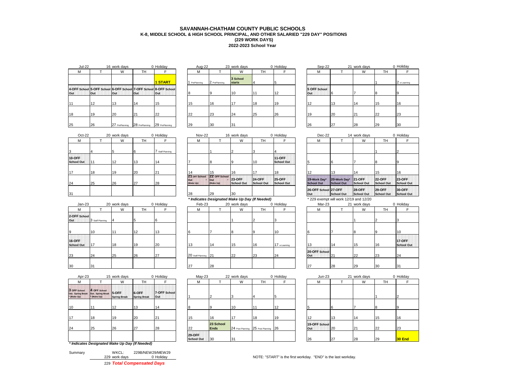## **SAVANNAH-CHATHAM COUNTY PUBLIC SCHOOLS K-8, MIDDLE SCHOOL & HIGH SCHOOL PRINCIPAL, AND OTHER SALARIED "229 DAY" POSITIONS 2022-2023 School Year (229 WORK DAYS)**

| <b>Jul-22</b> |      | 16 work days   |                | 0 Holiday                                                               |    | Aug-22      |               | 23 work days              |           | 0 Holiday | Sep-22              |    | 21 work days |           | 0 Holiday    |
|---------------|------|----------------|----------------|-------------------------------------------------------------------------|----|-------------|---------------|---------------------------|-----------|-----------|---------------------|----|--------------|-----------|--------------|
| M             |      | W              | TH             |                                                                         |    | M           |               | W                         | <b>TH</b> |           | М                   |    | W            | <b>TH</b> |              |
|               |      |                |                | 1 START                                                                 |    | PrePlanning | 2 PrePlanning | 3 School<br><b>starts</b> |           |           |                     |    |              |           | 2 e-Learning |
| Out           | lOut | <b>Out</b>     | <b>Out</b>     | 4-OFF School 5-OFF School 6-OFF School 7-OFF School 8-OFF School<br>Out |    |             |               | 10                        | 11        | 12        | 5 OFF School<br>Out |    |              |           |              |
| 11            | 12   | 13             | 14             | 15                                                                      |    |             | 16            | 17                        | 18        | 19        |                     | 13 | 14           | 15        | 16           |
| 18            | 19   | 20             | 21             | 22                                                                      | 22 |             | 23            | 24                        | 25        | 26        | 19                  | 20 |              | 22        | 23           |
| 25            | 26   | 27 PrePlanning | 28 PrePlanning | 29 PrePlanning                                                          | 29 |             | 30            | 31                        |           |           | 26                  | 27 | 28           | <b>29</b> | 30           |

| Holiday             | Aug-22      |               | 23 work days              |    | 0 Holida |
|---------------------|-------------|---------------|---------------------------|----|----------|
| F                   | M           |               | W                         | TН | F        |
| <b>1 START</b>      | PrePlanning | 2 PrePlanning | 3 School<br><b>starts</b> | 4  | 5        |
| 8-OFF School<br>Out | 8           | 9             | 10                        | 11 | 12       |
| 15                  | 15          | 16            | 17                        | 18 | 19       |
| 22                  | 22          | 23            | 24                        | 25 | 26       |
| 29 PrePlanning      | 29          | 30            | 31                        |    |          |
|                     |             |               |                           |    |          |

| JUI-ZZ |            | <b>TO WORK GRAYS</b> |                | v Hollday                                                                | Aug-22        |               | <b>Z3 WORK GRIVS</b> |           | v Hollday  | Sep-22              |    | Z I WORK GAVS |     | <b>U</b> HOIIGAY |
|--------|------------|----------------------|----------------|--------------------------------------------------------------------------|---------------|---------------|----------------------|-----------|------------|---------------------|----|---------------|-----|------------------|
|        |            | W                    | TН             |                                                                          | M             |               | W                    | <b>TH</b> |            | м                   |    | W             | TH. |                  |
|        |            |                      |                | 1 START                                                                  | 1 PrePlanning | 2 PrePlanning | 3 School<br>starts   |           |            |                     |    |               |     | 2 e-Learning     |
|        | <b>Out</b> | lOut                 | Out            | School 5-OFF School 6-OFF School 7-OFF School 8-OFF School<br><b>Out</b> |               |               |                      |           | $\sqrt{2}$ | 5 OFF School<br>Out |    |               |     |                  |
|        |            | 12                   | 14             | 15                                                                       | 15            | 16            |                      | 18        | 19         | 12                  | 13 | 14            | 15  | 16               |
|        | 19         | 20                   | 21             | 22                                                                       | 22            | <b>23</b>     | 24                   | 25        | 26         | 19                  | 20 | 21            | っっ  | 23               |
|        | 26         | 27 PrePlanning       | 28 PrePlanning | 29 PrePlanning                                                           | 29            | 30            | 31                   |           |            | 26                  | 27 | 28            | 29  | 30               |

| $Oct-22$                    |    | 20 work days |    | 0 Holiday        | Nov-22                            |                                    | 16 work days                |                                    | 0 Holiday                          | $Dec-22$                          |                            | 14 work days                 |                             | $0$ Ho          |
|-----------------------------|----|--------------|----|------------------|-----------------------------------|------------------------------------|-----------------------------|------------------------------------|------------------------------------|-----------------------------------|----------------------------|------------------------------|-----------------------------|-----------------|
| M                           |    | W            | TH |                  | м                                 |                                    | W                           | TH                                 |                                    | м                                 |                            | W                            | TH.                         |                 |
|                             |    |              |    | 7 Staff Planning |                                   |                                    |                             |                                    |                                    |                                   |                            |                              |                             |                 |
| 10-OFF<br><b>School Out</b> |    | 12           | 13 | 14               |                                   |                                    |                             | 10                                 | <b>11-OFF</b><br><b>School Out</b> |                                   |                            |                              | I8                          |                 |
| 17                          | 18 | 19           | 20 | 21               | 14                                | 15                                 | 16                          |                                    | 18                                 |                                   | 13                         | 14                           | 15                          | 16              |
| 24                          | 25 | 26           | 27 | 28               | 21 OFF School<br>Out<br>(Make Up) | 22 OFF School<br>lout<br>(Make Up) | <b>23-OFF</b><br>School Out | <b>24-OFF</b><br><b>School Out</b> | <b>25-OFF</b><br><b>School Out</b> | 19-Work Day*<br><b>School Out</b> | 20-Work Day*<br>School Out | <b>21-OFF</b><br>School Out  | <b>22-OFF</b><br>School Out | 23<br><b>Sc</b> |
| 31                          |    |              |    |                  | 28                                | 29                                 | 30                          |                                    |                                    | 26-OFF School 27-OFF<br>Out       | School Out                 | <b>128-OFF</b><br>School Out | $129-OFF$<br>School Out     | 30<br><b>Sc</b> |

|                                    |                  |              |           |           |                      | $\cdot$ |              | .         |              |                      |    |              |                 |                 |
|------------------------------------|------------------|--------------|-----------|-----------|----------------------|---------|--------------|-----------|--------------|----------------------|----|--------------|-----------------|-----------------|
| $Jan-23$                           |                  | 20 work days |           | 0 Holiday | Feb-23               |         | 20 work days |           | 0 Holiday    | Mar-23               |    | 21 work days |                 | $0$ Ho          |
| м                                  |                  | W            | <b>TH</b> |           | м                    |         | W            | <b>TH</b> |              | М                    |    | W            | <b>TH</b>       |                 |
| 2-OFF School<br>Out                | 3 Staff Planning | 14           |           |           |                      |         |              |           |              |                      |    |              |                 |                 |
| 9                                  | 10               |              | 12        | 13        |                      |         |              | ı۵        | '10          |                      |    | 18           | $\overline{10}$ | 10              |
| <b>16-OFF</b><br><b>School Out</b> | 17               | 18           | 19        | 20        | 13                   | 14      | 15           | 16        | 17 e-Leaming | 13                   | 14 | 15           | 16              | 17<br><b>Sc</b> |
| 23                                 | 24               | 25           | 26        | 27        | 20 Staff Planning 21 |         | 22           | 23        | 24           | 20-OFF School<br>Out | 21 | 22           | 23              | 24              |
| 30                                 | 31               |              |           |           | 27                   | 28      |              |           |              | 27                   | 28 | 29           | 30              | 31              |

| $Oct-22$    |    | 20 work days |    | 0 Holiday      |     | Nov-22                     |                                                | 16 work days                |                             | 0 Holiday                          |     | Dec-22                            |                                        | 14 work days                 |                             | 0 Holiday                 |
|-------------|----|--------------|----|----------------|-----|----------------------------|------------------------------------------------|-----------------------------|-----------------------------|------------------------------------|-----|-----------------------------------|----------------------------------------|------------------------------|-----------------------------|---------------------------|
|             |    | W            | TH |                |     | м                          |                                                | W                           | тн                          |                                    |     | м                                 |                                        | W                            | TH                          |                           |
|             |    |              |    | Staff Planning |     |                            |                                                |                             |                             |                                    |     |                                   |                                        |                              |                             |                           |
| Έ.<br>' Out | 11 | 12           | 13 | 14             |     |                            |                                                |                             | 10                          | <b>11-OFF</b><br><b>School Out</b> |     |                                   |                                        |                              |                             |                           |
|             | 18 | 19           | 20 | 21             |     |                            | 15                                             | 16                          |                             | 18                                 | 12  |                                   | 13                                     | 14                           | 15                          | 16                        |
|             | 25 | 26           | 27 | 28             | Out | 21 OFF School<br>(Make Up) | 22 OFF School<br>lOut<br>(Make Up)             | <b>23-OFF</b><br>School Out | <b>24-OFF</b><br>School Out | <b>25-OFF</b><br>School Out        |     | 19-Work Day*<br><b>School Out</b> | 20-Work Day*<br>School Out             | <b>121-OFF</b><br>School Out | <b>22-OFF</b><br>School Out | <b>23-OFF</b><br>School C |
|             |    |              |    |                | 28  |                            | 29                                             | 30                          |                             |                                    | Out | 26-OFF School 27-OFF              | <b>School Out</b>                      | <b>28-OFF</b><br>School Out  | <b>29-OFF</b><br>School Out | 30-OFF<br>School C        |
|             |    |              |    |                |     |                            | * Indicates Designated Make Up Day (If Needed) |                             |                             |                                    |     |                                   | * 229 exempt will work 12/19 and 12/20 |                              |                             |                           |

| $Jan-23$                    |                  | 20 work days |           | 0 Holiday | Feb-23               |    | 20 work days |           | 0 Holiday    | Mar-23               |                 | 21 work days |     | 0 Holiday                        |
|-----------------------------|------------------|--------------|-----------|-----------|----------------------|----|--------------|-----------|--------------|----------------------|-----------------|--------------|-----|----------------------------------|
|                             |                  | W            | <b>TH</b> |           | М                    |    | W            | <b>TH</b> |              | M                    |                 | W            | TH. |                                  |
| 2-OFF School<br>Out         | 3 Staff Planning |              |           | h         |                      |    |              |           |              |                      |                 |              |     |                                  |
|                             | 10               |              | 12        | $\sim$    |                      |    |              |           | 10           |                      |                 |              |     | 10                               |
| 16-OFF<br><b>School Out</b> | 17               | 18           | 19        | 20        | 13                   | 14 | 15           | 16        | 17 e-Leaming |                      | 14              | 15           | 16  | <b>17-OFF</b><br><b>School C</b> |
| 23                          | 24               | 25           | 26        | 27        | 20 Staff Planning 21 |    | 22           | 23        | 24           | 20-OFF School<br>Out | 12 <sup>-</sup> | 22           | 23  | 24                               |
| 30                          | 31               |              |           |           | 27                   | 28 |              |           |              | 27                   | 28              | 29           | 30  | 31                               |

| Apr-23                                           |                                                  | 15 work days                  |                                                | 0 Holiday            | $May-23$                    |                          | 22 work days |                                      | 0 Holiday | $Jun-23$             |           | 21 work days |           | 0 Holiday |
|--------------------------------------------------|--------------------------------------------------|-------------------------------|------------------------------------------------|----------------------|-----------------------------|--------------------------|--------------|--------------------------------------|-----------|----------------------|-----------|--------------|-----------|-----------|
| м                                                |                                                  | W                             | TH                                             |                      | М                           |                          | W            | TH                                   |           | М                    |           | W            | <b>TH</b> |           |
| 3 OFF School<br>Out. Spring Break<br>* (Make Up) | 4 OFF School<br>Out. Spring Break<br>* (Make Up) | 15-OFF<br><b>Spring Break</b> | 6-OFF<br><b>Spring Break</b>                   | 7-OFF School<br>lOut |                             |                          |              |                                      |           |                      |           |              |           |           |
| 10                                               |                                                  | 12                            | 13                                             | 14                   | 8                           |                          | 10           |                                      | 12        |                      |           |              |           |           |
| 17                                               | 18                                               | 19                            | 20                                             | 21                   | 15                          | 16                       | 17           | 18                                   | 19        |                      | 13        | 14           | 15        | 16        |
| 24                                               | 25                                               | 26                            | 27                                             | 28                   | 22                          | 23 School<br><b>Ends</b> |              | 24 Post Planning 25 Post Planning 26 |           | 19-OFF School<br>Out | <b>20</b> |              | 22        | 23        |
|                                                  |                                                  |                               |                                                |                      | 29-OFF<br><b>School Out</b> | 30                       | 31           |                                      |           | 26                   | 27        | 28           | 29        | 30 End    |
|                                                  |                                                  |                               | * Indicates Designated Make Up Day (If Needed) |                      |                             |                          |              |                                      |           |                      |           |              |           |           |

| Summary | WKCL:         | 229B/NEW29/MEW29           |
|---------|---------------|----------------------------|
|         | 229 work days | 0 Holiday                  |
|         |               | 229 Total Compensated Days |

| Holiday             | $May-23$                           |                          | 22 work days |                                      | 0 Holiday | $Jun-23$             |    | 21 work days |     | 0 Holiday |
|---------------------|------------------------------------|--------------------------|--------------|--------------------------------------|-----------|----------------------|----|--------------|-----|-----------|
| F                   | M                                  |                          | W            | TН                                   | F         | M                    |    | W            | TH. |           |
| 7-OFF School<br>Out |                                    |                          | 3            |                                      |           |                      |    |              |     |           |
| 14                  | 8                                  | 9                        | 10           | 11                                   | 12        | 5                    | 6  |              | 8   |           |
| 21                  | 15                                 | 16                       | 17           | 18                                   | 19        | 12                   | 13 | 14           | 15  | 16        |
| 28                  | 22                                 | 23 School<br><b>Ends</b> |              | 24 Post Planning 25 Post Planning 26 |           | 19-OFF School<br>Out | 20 | 21           | 22  | 23        |
|                     | <b>29-OFF</b><br><b>School Out</b> | 30                       | 31           |                                      |           | 26                   | 27 | 28           | 29  | 30 End    |

| F                                  | M                                 |                                   | W                                  | TH                                 | F                                  |
|------------------------------------|-----------------------------------|-----------------------------------|------------------------------------|------------------------------------|------------------------------------|
| 4                                  |                                   |                                   |                                    |                                    | 2                                  |
| <b>11-OFF</b><br><b>School Out</b> | 5                                 | 6                                 |                                    | 8                                  | 9                                  |
| 18                                 | 12                                | 13                                | 14                                 | 15                                 | 16                                 |
| <b>25-OFF</b><br><b>School Out</b> | 19-Work Day*<br><b>School Out</b> | 20-Work Day*<br><b>School Out</b> | <b>21-OFF</b><br><b>School Out</b> | <b>22-OFF</b><br><b>School Out</b> | <b>23-OFF</b><br><b>School Out</b> |
|                                    | 26-OFF School 27-OFF<br>Out       | <b>School Out</b>                 | <b>28-OFF</b><br><b>School Out</b> | <b>29-OFF</b><br><b>School Out</b> | 30-OFF<br><b>School Out</b>        |

|                      |    |    | 2  | 3                                  |
|----------------------|----|----|----|------------------------------------|
| 6                    |    | 8  | 9  | 10                                 |
| 13                   | 14 | 15 | 16 | <b>17-OFF</b><br><b>School Out</b> |
| 20-OFF School<br>Out | 21 | 22 | 23 | 24                                 |
| 27                   | 20 | 20 | 20 | 21                                 |

| Jun-23               |    | 21 work days |    | 0 Holiday      |
|----------------------|----|--------------|----|----------------|
| М                    |    | W            | TH | F              |
|                      |    |              |    |                |
|                      |    |              |    | $\overline{2}$ |
| 5                    | 6  | 7            | 8  | 9              |
| 12                   | 13 | 14           | 15 | 16             |
| 19-OFF School<br>Out | 20 | 21           | 22 | 23             |
| 26                   | 27 | 28           | 29 | 30 End         |

229 work days 229 work days NOTE: "START" is the first workday. "END" is the last workday.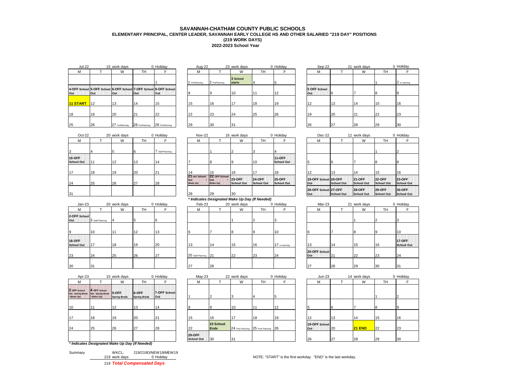## **2022-2023 School Year SAVANNAH-CHATHAM COUNTY PUBLIC SCHOOLS ELEMENTARY PRINCIPAL, CENTER LEADER, SAVANNAH EARLY COLLEGE HS AND OTHER SALARIED "219 DAY" POSITIONS (219 WORK DAYS)**

| <b>Jul-22</b>   |            | 15 work days   |                | 0 Holiday                                                                      | Aug-22      |               | 23 work days              |    | 0 Holiday | Sep-22              |    | 21 work days |    | 0 Holiday    |
|-----------------|------------|----------------|----------------|--------------------------------------------------------------------------------|-------------|---------------|---------------------------|----|-----------|---------------------|----|--------------|----|--------------|
|                 |            | W              | TH             |                                                                                | M           |               | W                         | TН |           | м                   |    | W            | TH |              |
|                 |            |                |                |                                                                                | PrePlanning | 2 PrePlanning | 3 School<br><b>starts</b> |    |           |                     |    |              |    | 2 e-Learning |
| Out             | <b>Out</b> | lOut           | <b>Out</b>     | 4-OFF School 5-OFF School 6-OFF School 7-OFF School 8-OFF School<br><b>Out</b> |             |               | 10                        |    | 12        | 5 OFF School<br>Out |    |              |    |              |
| <b>11 START</b> | 112        | 13             | 14             | 15                                                                             |             | 16            | 17                        | 18 | 19        |                     | 13 | 114          | 15 | 16           |
| 18              | 19         | 20             | 21             | 22                                                                             | 22          | <b>23</b>     | 24                        | 25 | <b>26</b> | 19                  | 20 |              | 22 | 23           |
| 25              | 26         | 27 PrePlanning | 28 PrePlanning | 29 PrePlanning                                                                 | 29          | 30            | 31                        |    |           | 26                  | 27 | 28           | 29 | 30           |

| Holiday             | Aug-22      |               | 23 work days       |    | 0 Holida |
|---------------------|-------------|---------------|--------------------|----|----------|
| F.                  | М           |               | W                  | TН | F        |
| 1                   | PrePlanning | 2 PrePlanning | 3 School<br>starts | 4  | 5        |
| 8-OFF School<br>Out | 8           | 9             | 10                 | 11 | 12       |
| 15                  | 15          | 16            | 17                 | 18 | 19       |
| 22                  | 22          | 23            | 24                 | 25 | 26       |
| 29 PrePlanning      | 29          | 30            | 31                 |    |          |
|                     |             |               |                    |    |          |

| JUI-ZZ     |            | <b>15 WORLDays</b> |                | v nolludy                                                                | Aug-22        |               | <b>23 WUIK UAYS</b>       |           | v nolludy | OUD-ZZ              |    | <b>ZI WUIK UAYS</b> |    | v nolludy    |
|------------|------------|--------------------|----------------|--------------------------------------------------------------------------|---------------|---------------|---------------------------|-----------|-----------|---------------------|----|---------------------|----|--------------|
|            |            | W                  | TH             |                                                                          | M             |               | W                         | <b>TH</b> |           | M                   |    | W                   | TH |              |
|            |            |                    |                |                                                                          | 1 PrePlanning | 2 PrePlanning | 3 School<br><b>starts</b> |           |           |                     |    |                     |    | 2 e-Learning |
|            | <b>Out</b> | <b>Out</b>         | Out            | School 5-OFF School 6-OFF School 7-OFF School 8-OFF School<br><b>Out</b> |               |               | 10                        | 11        | 12        | 5 OFF School<br>Out |    |                     |    |              |
| <b>ART</b> | <b>12</b>  |                    | 14             | 15                                                                       | 15            | 16            | 17                        | 18        | 19        | 12                  | 13 |                     | 15 | 16           |
|            | 19         | 20                 | 21             | 22                                                                       | 22            | 23            | 24                        | 25        | 26        | 19                  | 20 | 121                 | 22 | 23           |
|            | 26         | 27 PrePlanning     | 28 PrePlanning | 29 PrePlanning                                                           | 29            | 30            | 31                        |           |           | 26                  | 27 | 28                  | 29 | 30           |

| $Oct-22$                    |    | 20 work days |    | 0 Holiday      |     | Nov-22                     |                                    | 16 work days                |                                    | 0 Holiday                          | Dec-22                      |            | 12 work days                 |                             | $0$ Ho          |
|-----------------------------|----|--------------|----|----------------|-----|----------------------------|------------------------------------|-----------------------------|------------------------------------|------------------------------------|-----------------------------|------------|------------------------------|-----------------------------|-----------------|
| M                           |    | W            | TН |                |     | M                          |                                    | W                           | <b>TH</b>                          |                                    | М                           |            | W                            | TH.                         |                 |
| 13                          |    |              |    | Staff Planning |     |                            |                                    |                             |                                    |                                    |                             |            |                              |                             |                 |
| 10-OFF<br><b>School Out</b> |    | 12           | 13 | 14             |     |                            |                                    |                             | 10                                 | <b>11-OFF</b><br><b>School Out</b> |                             |            |                              |                             |                 |
| 117                         | 18 | 19           | 20 | 21             | 14  |                            | 15                                 | 16                          | 17                                 | 18                                 | 12                          | 13         | 14                           | 15                          | 16              |
| 24                          | 25 | 26           | 27 | 28             | Out | 21 OFF School<br>(Make Up) | 22 OFF School<br>lout<br>(Make Up) | <b>23-OFF</b><br>School Out | <b>24-OFF</b><br><b>School Out</b> | <b>25-OFF</b><br>School Out        | 19-OFF School 20-OFF<br>Out | School Out | <b>21-OFF</b><br>School Out  | <b>22-OFF</b><br>School Out | 23<br><b>Sc</b> |
| 31                          |    |              |    |                | 28  |                            | 29                                 | 30                          |                                    |                                    | 26-OFF School 27-OFF<br>Out | School Out | <b>128-OFF</b><br>School Out | $129-OFF$<br>School Out     | 30<br><b>Sc</b> |

|                             |                  |              |           |           |                      | $\cdot$ |              | .         |              |                      |    |              |     |                 |
|-----------------------------|------------------|--------------|-----------|-----------|----------------------|---------|--------------|-----------|--------------|----------------------|----|--------------|-----|-----------------|
| $Jan-23$                    |                  | 20 work days |           | 0 Holiday | Feb-23               |         | 20 work days |           | 0 Holiday    | Mar-23               |    | 21 work days |     | $0$ Ho          |
| м                           |                  | W            | <b>TH</b> |           | м                    |         | W            | <b>TH</b> |              | М                    |    | W            | TH. |                 |
| 2-OFF School<br>Out         | 3 Staff Planning | 14           |           |           |                      |         |              |           |              |                      |    |              |     |                 |
| $\mathbf{Q}$                | 10               | 11           | 12        | 13        |                      |         |              |           | 10           |                      |    | 8            |     | 10              |
| 16-OFF<br><b>School Out</b> | 17               | 18           | 19        | 20        | 13                   | 14      | 15           | 16        | 17 e-Leaming | 13                   | 14 | 15           | 16  | 17<br><b>Sc</b> |
| 23                          | 24               | 25           | 26        | 27        | 20 Staff Planning 21 |         | 22           | 23        | 24           | 20-OFF School<br>Out | 21 | 22           | 23  | 24              |
| 30                          | 31               |              |           |           | 27                   | 28      |              |           |              | 27                   | 28 | 29           | 30  | 31              |

| $Oct-22$   |     | 20 work days |           | 0 Holiday      |                                   | <b>Nov-22</b> |                                                | 16 work days                |                             | 0 Holiday                          | $Dec-22$                    |                   | 12 work days                |                             | 0 Holiday                 |
|------------|-----|--------------|-----------|----------------|-----------------------------------|---------------|------------------------------------------------|-----------------------------|-----------------------------|------------------------------------|-----------------------------|-------------------|-----------------------------|-----------------------------|---------------------------|
|            |     | W            | <b>TH</b> |                |                                   | М             |                                                | W                           | TН                          |                                    | М                           |                   | W                           | <b>TH</b>                   |                           |
|            |     |              | ıb        | Staff Planning |                                   |               |                                                |                             |                             |                                    |                             |                   |                             |                             |                           |
| F<br>I Out | 111 | 12           | 13        |                |                                   |               |                                                |                             | 10                          | <b>11-OFF</b><br><b>School Out</b> |                             |                   |                             |                             |                           |
|            | 18  | 19           | 20        | 121            |                                   |               | 15                                             | 16                          |                             | 18                                 |                             | 13                | 14                          | 15                          | 16                        |
|            | 25  | 26           | 27        | 28             | 21 OFF School<br>Out<br>(Make Up) |               | 22 OFF School<br>lout<br>(Make Up)             | <b>23-OFF</b><br>School Out | <b>24-OFF</b><br>School Out | <b>25-OFF</b><br>School Out        | 19-OFF School 20-OFF<br>Out | <b>School Out</b> | <b>21-OFF</b><br>School Out | <b>22-OFF</b><br>School Out | <b>23-OFF</b><br>School C |
|            |     |              |           |                | 28                                |               | 29                                             | 30                          |                             |                                    | 26-OFF School 27-OFF<br>Out | <b>School Out</b> | <b>28-OFF</b><br>School Out | <b>29-OFF</b><br>School Out | <b>30-OFF</b><br>School C |
|            |     |              |           |                |                                   |               | * Indicates Designated Make Up Day (If Needed) |                             |                             |                                    |                             |                   |                             |                             |                           |

| Jan-23      |                  | 20 work days | 0 Holiday |    | Feb-23               |    | 20 work days |    | 0 Holiday    | Mar-23               |                 | 21 work days |           | 0 Holiday                 |
|-------------|------------------|--------------|-----------|----|----------------------|----|--------------|----|--------------|----------------------|-----------------|--------------|-----------|---------------------------|
| Μ           |                  | W            | <b>TH</b> |    | М                    |    | W            | TН |              | м                    |                 | W            | <b>TH</b> |                           |
| School      | 3 Staff Planning |              |           |    |                      |    |              |    |              |                      |                 |              |           |                           |
|             | 10               |              | 12        | 13 |                      |    |              |    | 10           |                      |                 |              |           | 10                        |
| F.<br>I Out | 17               | 18           | 19        | 20 | $\sqrt{2}$           | 14 | 15           | 16 | 17 e-Leaming | $\sim$               | 14              | 15           | 16        | 17-OFF<br><b>School C</b> |
|             | 24               | 25           | 26        | 27 | 20 Staff Planning 21 |    | 22           | 23 | 24           | 20-OFF School<br>Out | 12 <sup>-</sup> | 22           | 23        | 24                        |
|             | 31               |              |           |    | 27                   | 28 |              |    |              | 27                   | 28              | 29           | 30        | 31                        |

| Apr-23                                           |                                                  | 15 work days                 |                              | 0 Holiday                  | $May-23$                           |                          | 22 work days |                                      | 0 Holiday | $Jun-23$             |    | 14 work days |           | 0 Holiday |
|--------------------------------------------------|--------------------------------------------------|------------------------------|------------------------------|----------------------------|------------------------------------|--------------------------|--------------|--------------------------------------|-----------|----------------------|----|--------------|-----------|-----------|
| M                                                |                                                  | W                            | <b>TH</b>                    |                            | M                                  |                          | W            | <b>TH</b>                            |           | М                    |    | W            | <b>TH</b> |           |
| 3 OFF School<br>Out. Spring Break<br>* (Make Up) | 4 OFF School<br>Out. Spring Break<br>* (Make Up) | 5-OFF<br><b>Spring Break</b> | 6-OFF<br><b>Spring Break</b> | 7-OFF School<br><b>Out</b> |                                    |                          |              |                                      |           |                      |    |              |           |           |
| 10                                               | 111                                              | 12                           | 13                           | 14                         |                                    |                          | 10           |                                      | 12        |                      | 6  |              |           |           |
| 17                                               | 18                                               | 19                           | 20                           | 21                         | 15                                 | 16                       | .17          | 18                                   | 19        | 12                   | 13 | 14           | 15        | 16        |
| 24                                               | 25                                               | 26                           | 27                           | 28                         | 22                                 | 23 School<br><b>Ends</b> |              | 24 Post Planning 25 Post Planning 26 |           | 19-OFF School<br>Out | 20 | $21$ END     | 22        | 23        |
|                                                  |                                                  |                              |                              |                            | <b>29-OFF</b><br><b>School Out</b> | 30                       | 31           |                                      |           | 26                   | 27 | 28           | 29        | 30        |
|                                                  | * Indicates Designated Make Up Day (If Needed)   |                              |                              |                            |                                    |                          |              |                                      |           |                      |    |              |           |           |

| Summary | WKCL:         | 219/219D/NEW19/MEW19       |
|---------|---------------|----------------------------|
|         | 219 work days | 0 Holiday                  |
|         |               | 219 Total Compensated Days |

| Holiday             | $May-23$                           |                          | 22 work days |                                      | 0 Holiday | $Jun-23$             |    | 14 work days  |     | $0$ Ho |
|---------------------|------------------------------------|--------------------------|--------------|--------------------------------------|-----------|----------------------|----|---------------|-----|--------|
|                     | м                                  |                          | W            | TН                                   |           | м                    |    | W             | TH. |        |
| 7-OFF School<br>Out |                                    |                          |              | 4                                    | 15        |                      |    |               |     | 2      |
| 14                  |                                    | g                        | 10           | 11                                   | 12        | 5                    |    |               |     | 9      |
| 21                  | 15                                 | 16                       | 17           | 18                                   | 19        | 12                   | 13 | 14            | 15  | 16     |
| 28                  | 22                                 | 23 School<br><b>Ends</b> |              | 24 Post Planning 25 Post Planning 26 |           | 19-OFF School<br>Out | 20 | <b>21 END</b> | 22  | 23     |
|                     | <b>29-OFF</b><br><b>School Out</b> | 30                       | 31           |                                      |           | 26                   | 27 | 28            | 29  | 30     |

|                                    | М                           |                   | W                                  | TН                                 |                                    |
|------------------------------------|-----------------------------|-------------------|------------------------------------|------------------------------------|------------------------------------|
| 4                                  |                             |                   |                                    |                                    | $^{2}$                             |
| <b>11-OFF</b><br><b>School Out</b> | 5                           | 6                 |                                    | 8                                  | 9                                  |
| 18                                 | 12                          | 13                | 14                                 | 15                                 | 16                                 |
| <b>25-OFF</b><br><b>School Out</b> | 19-OFF School 20-OFF<br>Out | <b>School Out</b> | <b>21-OFF</b><br><b>School Out</b> | <b>22-OFF</b><br><b>School Out</b> | <b>23-OFF</b><br><b>School Out</b> |
|                                    | 26-OFF School 27-OFF<br>Out | <b>School Out</b> | <b>28-OFF</b><br><b>School Out</b> | <b>29-OFF</b><br><b>School Out</b> | 30-OFF<br><b>School Out</b>        |

| Mar-23               |    | 21 work days | 0 Holiday |                                    |  |  |  |
|----------------------|----|--------------|-----------|------------------------------------|--|--|--|
| М                    |    | W            | TH        |                                    |  |  |  |
|                      |    |              | 2         | 3                                  |  |  |  |
| 6                    | 7  | 8            | 9         | 10                                 |  |  |  |
| 13                   | 14 | 15           | 16        | <b>17-OFF</b><br><b>School Out</b> |  |  |  |
| 20-OFF School<br>Out | 21 | 22           | 23        | 24                                 |  |  |  |
| 27                   | 28 | 29           | 30        | 31                                 |  |  |  |

| $Jun-23$             |    | 14 work days  | 0 Holiday |    |  |  |
|----------------------|----|---------------|-----------|----|--|--|
| М                    |    | W             | TH        | F  |  |  |
|                      |    |               |           |    |  |  |
|                      |    |               |           | 2  |  |  |
| 5                    | 6  | 7             | 8         | 9  |  |  |
| 12                   | 13 | 14            | 15        | 16 |  |  |
| 19-OFF School<br>Out | 20 | <b>21 END</b> | 22        | 23 |  |  |
| 26                   | 27 | 28            | 29        | 30 |  |  |

219 WOTE: "START" is the first workday. "END" is the last workday.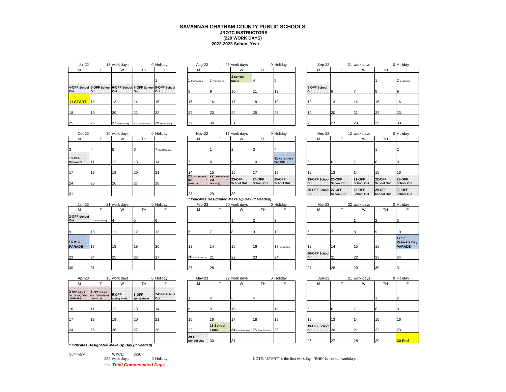## **2022-2023 School Year SAVANNAH-CHATHAM COUNTY PUBLIC SCHOOLS JROTC INSTRUCTORS (229 WORK DAYS)**

| <b>Jul-22</b> |                   | 15 work days                  |                | 0 Holiday                                                                      | Aug-22        |               | 23 work days              |    | 0 Holiday |     | Sep-22       |           | 21 work days |    | 0 Holiday    |
|---------------|-------------------|-------------------------------|----------------|--------------------------------------------------------------------------------|---------------|---------------|---------------------------|----|-----------|-----|--------------|-----------|--------------|----|--------------|
| M             |                   | W                             | TH <sub></sub> |                                                                                | M             |               | W                         | TH |           |     | М            |           | W            | TH |              |
|               |                   |                               |                |                                                                                | 1 PrePlanning | 2 PrePlanning | 3 School<br><b>starts</b> |    |           |     |              |           |              |    | 2 e-Learning |
| Out           | Out               | <b>Out</b>                    | Out            | 4-OFF School 5-OFF School 6-OFF School 7-OFF School 8-OFF School<br><b>Out</b> |               |               | 10                        |    | 12        | Out | 5 OFF School |           |              |    |              |
| 11 START      | $\blacksquare$ 12 | 13                            | 14             | 15                                                                             | 15            | 16            |                           | 18 | 19        |     |              | 13        | 14           | 15 | 16           |
| 18            | 19                | 20                            | 21             | 22                                                                             | 22            | 23            | 24                        | 25 | 26        |     |              | 20        | 21           | 22 | 23           |
| 25            | 26                | 27 PrePlanning 28 PrePlanning |                | 29 PrePlanning                                                                 | 29            | 30            | 31                        |    |           | 26  |              | <b>27</b> | <b>28</b>    | 29 | 30           |

| Holidav             | Aug-22      |               | 23 work days              |    | 0 Holiday |
|---------------------|-------------|---------------|---------------------------|----|-----------|
| F                   | М           |               | W                         | TН | F         |
| 1                   | PrePlanning | 2 PrePlanning | 3 School<br><b>starts</b> | 4  | 5         |
| 8-OFF School<br>Out | 8           | 9             | 10                        | 11 | 12        |
| 15                  | 15          | 16            | 17                        | 18 | 19        |
| 22                  | 22          | 23            | 24                        | 25 | 26        |
| 29 PrePlanning      | 29          | 30            | 31                        |    |           |

| Jul-22     |     | 15 work days   |                | 0 Holiday                                                                | Aug-22        |               | 23 work days              |     | 0 Holiday | Sep-22              |    | 21 work days |    | 0 Holiday    |
|------------|-----|----------------|----------------|--------------------------------------------------------------------------|---------------|---------------|---------------------------|-----|-----------|---------------------|----|--------------|----|--------------|
|            |     | W              | TH             |                                                                          | M             |               | W                         | TH. |           | M                   |    | W            | TH |              |
|            |     |                |                |                                                                          | 1 PrePlanning | 2 PrePlanning | 3 School<br><b>starts</b> |     |           |                     |    |              |    | 2 e-Learning |
|            | Out | lOut           | Out            | School 5-OFF School 6-OFF School 7-OFF School 8-OFF School<br><b>Out</b> |               |               | 10                        | 11  | 12        | 5 OFF School<br>Out |    |              |    |              |
| <b>ART</b> | 12  | 13             | 14             | 15                                                                       | 15            | 16            | 17                        | 18  | 19        | 12                  | 13 | 14           | 15 | 16           |
|            | 19  | 20             | 21             | 22                                                                       | 22            | 23            | 24                        | 25  | 26        | 19                  | 20 | 121          | 22 | 23           |
|            | 26  | 27 PrePlanning | 28 PrePlanning | 29 PrePlanning                                                           | 29            | 30            | 31                        |     |           | 26                  | 27 | 28           | 29 | 30           |

| $Oct-22$                           |    | 20 work days |     | 0 Holiday        |                                   | Nov-22 |                                           | 17 work days            |                             | 0 Holiday                            | Dec-22                      |            | 12 work days                 |                             | $0$ Ho          |
|------------------------------------|----|--------------|-----|------------------|-----------------------------------|--------|-------------------------------------------|-------------------------|-----------------------------|--------------------------------------|-----------------------------|------------|------------------------------|-----------------------------|-----------------|
| M                                  |    | W            | TH. |                  |                                   | M      |                                           | W                       | TH                          |                                      | М                           |            | W                            | TH.                         |                 |
| Iз                                 |    |              | 6   | 7 Staff Planning |                                   |        |                                           |                         |                             | 14                                   |                             |            |                              |                             |                 |
| <b>10-OFF</b><br><b>School Out</b> |    | 12           | 13  | 14               |                                   |        |                                           |                         | 10                          | <b>11 VETERAN'S</b><br><b>PARADE</b> |                             | <b>G</b>   |                              | $\mathbf{R}$                |                 |
| 17                                 | 18 | 19           | 20  | 21               | 14                                |        | 15                                        | 16                      | 17                          | 18                                   | 12                          | 13         | 114                          | 15                          | 16              |
| 24                                 | 25 | 26           | 27  | 28               | 21 OFF School<br>Out<br>(Make Up) |        | <b>ZZ</b> OFF School<br>lout<br>(Make Up) | $123-OFF$<br>School Out | <b>24-OFF</b><br>School Out | <b>25-OFF</b><br>School Out          | 19-OFF School 20-OFF<br>Out | School Out | <b>21-OFF</b><br>School Out  | <b>22-OFF</b><br>School Out | 23<br><b>Sc</b> |
| 31                                 |    |              |     |                  | 28                                |        | 29                                        | 30                      |                             |                                      | 26-OFF School 27-OFF<br>Out | School Out | <b>128-OFF</b><br>School Out | $129-OFF$<br>School Out     | 30<br><b>Sc</b> |

| $Jan-23$                |                  | 21 work days |           | 0 Holiday | Feb-23            |    | 20 work days |           | 0 Holiday    | Mar-23               |    | 22 work days |     | $0$ Ho         |
|-------------------------|------------------|--------------|-----------|-----------|-------------------|----|--------------|-----------|--------------|----------------------|----|--------------|-----|----------------|
| М                       |                  | W            | <b>TH</b> |           | М                 |    | W            | <b>TH</b> |              | М                    |    | W            | TH. |                |
| 2-OFF School<br>Out     | 3 Staff Planning |              |           |           |                   |    |              |           |              |                      |    |              |     |                |
| 9                       | 10               | 11           | 12        | 13        |                   |    |              | IΩ        | 10           | $\sim$               |    | 18           |     | 10             |
| 16 MLK<br><b>PARADE</b> | 17               | 18           | 19        | 20        | 13                | 14 | 15           | 16        | 17 e-Leaming | 13                   | 14 | 15           | 16  | 17<br>Pa<br>P/ |
| 23                      | 24               | 25           | 26        | 27        | 20 Staff Planning | 21 | 22           | 23        | 24           | 20-OFF School<br>Out | 21 | 22           | 23  | 24             |
| 30                      | 31               |              |           |           | 27                | 28 |              |           |              | 27                   | 28 | 29           | 30  | 31             |

| $Oct-22$    |     | 20 work days |    | 0 Holiday        | Nov-22                            |                                          | 17 work days                |                             | 0 Holiday                            | Dec-22                      |            | 12 work days                 |                                | 0 Holiday                 |
|-------------|-----|--------------|----|------------------|-----------------------------------|------------------------------------------|-----------------------------|-----------------------------|--------------------------------------|-----------------------------|------------|------------------------------|--------------------------------|---------------------------|
|             |     |              |    |                  |                                   |                                          |                             |                             |                                      |                             |            |                              |                                |                           |
|             |     | W            | TH |                  | М                                 |                                          | W                           | TН                          |                                      | М                           |            | W                            | TH                             |                           |
|             |     |              |    | 7 Staff Planning |                                   |                                          |                             |                             |                                      |                             |            |                              |                                |                           |
| F.<br>I Out | 111 | 12           | 13 | 14               |                                   |                                          |                             | 10                          | <b>11 VETERAN'S</b><br><b>PARADE</b> |                             |            |                              | $\circ$                        |                           |
|             | 18  | 19           | 20 | 21               |                                   | 15                                       | 16                          |                             | 18                                   | 12                          | 13         | 14                           | 15                             | 16                        |
|             | 25  | 26           | 27 | 28               | 21 OFF School<br>Out<br>(Make Up) | <b>ZZ</b> OFF School<br>Out<br>(Make Up) | <b>23-OFF</b><br>School Out | <b>24-OFF</b><br>School Out | <b>25-OFF</b><br>School Out          | 19-OFF School 20-OFF<br>Out | School Out | <b>21-OFF</b><br>School Out  | <b>22-OFF</b><br>School Out    | <b>23-OFF</b><br>School C |
|             |     |              |    |                  | 28                                | 29                                       | 30                          |                             |                                      | 26-OFF School 27-OFF<br>Out | School Out | <b>128-OFF</b><br>School Out | $129-OFF$<br><b>School Out</b> | 30-OFF<br>School C        |

## *\* Indicates Designated Make Up Day (If Needed)*

| Jan-23   |                  | 21 work days |           | 0 Holiday | Feb-23               |    | 20 work days |           | 0 Holiday    | Mar-23               |    | 22 work days |           | 0 Holiday                                       |
|----------|------------------|--------------|-----------|-----------|----------------------|----|--------------|-----------|--------------|----------------------|----|--------------|-----------|-------------------------------------------------|
| м        |                  | W            | <b>TH</b> |           | м                    |    | W            | <b>TH</b> |              | м                    |    | W            | <b>TH</b> |                                                 |
| School   | 3 Staff Planning |              |           |           |                      |    |              |           |              |                      |    |              |           |                                                 |
|          | 10               |              | 12        |           |                      |    |              |           | 10           |                      |    |              |           | 10                                              |
| ĸ<br>DE. | 17               | 18           | 19        | 20        | 13                   | 14 | 15           | 16        | 17 e-Leaming | 13                   | 14 | 15           | 16        | <b>17 St.</b><br><b>Patrick</b><br><b>PARAD</b> |
|          | 24               | 25           | 26        | 27        | 20 Staff Planning 21 |    | 22           | 23        | 24           | 20-OFF School<br>Out | 21 | 22           | 23        | 24                                              |
|          | 31               |              |           |           | ヘフ                   | 28 |              |           |              | 27                   | 28 | 29           | 30        | 31                                              |

|                   |                                                                             |                                                    |                      |                             |                          |          |              |    |                                                   |                                                                                      |     |                                       |              | 0 Holiday |
|-------------------|-----------------------------------------------------------------------------|----------------------------------------------------|----------------------|-----------------------------|--------------------------|----------|--------------|----|---------------------------------------------------|--------------------------------------------------------------------------------------|-----|---------------------------------------|--------------|-----------|
|                   | W                                                                           | TH                                                 |                      | M                           |                          | W        | TH           |    |                                                   | м                                                                                    |     | W                                     | TH           |           |
|                   |                                                                             | 6-OFF<br><b>Spring Break</b>                       | 7-OFF School<br>lOut |                             |                          |          |              |    |                                                   |                                                                                      |     |                                       |              |           |
|                   | 12                                                                          | 13                                                 | 14                   |                             |                          | 10       |              | 12 |                                                   |                                                                                      |     |                                       |              |           |
| 18                | 19                                                                          | 20                                                 | 121                  | 15                          | 16                       |          | 18           | 19 |                                                   |                                                                                      | 13  | 14                                    | 15           | 16        |
|                   |                                                                             | 27                                                 | 28                   | 22                          | 23 School<br><b>Ends</b> |          |              |    |                                                   |                                                                                      |     |                                       | 22           | 23        |
|                   |                                                                             |                                                    |                      | 29-OFF<br><b>School Out</b> | 130                      | 31       |              |    |                                                   | 26                                                                                   |     | 28                                    | 29           | 30 End    |
| Out. Spring Break | Apr-23<br>4 OFF School<br>Out. Spring Break<br><sup>*</sup> (Make Up)<br>25 | 15 work days<br>5-OFF<br><b>Spring Break</b><br>26 |                      | 0 Holiday                   |                          | $May-23$ | 22 work days |    | 0 Holiday<br>24 Post Planning 25 Post Planning 26 | $\theta$ and the second distribution of a second second the distribution of $\theta$ | Out | $Jun-23$<br>19-OFF School<br>20<br>27 | 21 work days |           |

| F                                  | M                           |                   | W                                  | TH                                 | F                                  |
|------------------------------------|-----------------------------|-------------------|------------------------------------|------------------------------------|------------------------------------|
| 4                                  |                             |                   |                                    |                                    | 2                                  |
| <b>11 VETERAN'S</b><br>PARADE      | 5                           | 6                 |                                    | 8                                  | 9                                  |
| 18                                 | 12                          | 13                | 14                                 | 15                                 | 16                                 |
| <b>25-OFF</b><br><b>School Out</b> | 19-OFF School 20-OFF<br>Out | <b>School Out</b> | <b>21-OFF</b><br><b>School Out</b> | <b>22-OFF</b><br><b>School Out</b> | <b>23-OFF</b><br><b>School Out</b> |
|                                    | 26-OFF School 27-OFF<br>Out | <b>School Out</b> | <b>28-OFF</b><br><b>School Out</b> | <b>29-OFF</b><br><b>School Out</b> | 30-OFF<br><b>School Out</b>        |

| Mar-23               |    | 22 work days |    | 0 Holiday                                       |
|----------------------|----|--------------|----|-------------------------------------------------|
| М                    |    | W            | TH | F                                               |
|                      |    |              | 2  | 3                                               |
| 6                    | 7  | 8            | 9  | 10                                              |
| 13                   | 14 | 15           | 16 | 17 St.<br><b>Patrick's Day</b><br><b>PARADE</b> |
| 20-OFF School<br>Out | 21 | 22           | 23 | 24                                              |
| 27                   | 28 | 29           | 30 | 31                                              |

| $Jun-23$             |    | 21 work days |    | 0 Holiday      |
|----------------------|----|--------------|----|----------------|
| М                    |    | W            | TH | F              |
|                      |    |              |    |                |
|                      |    |              | 1  | $\overline{2}$ |
| 5                    | 6  | 7            | 8  | 9              |
| 12                   | 13 | 14           | 15 | 16             |
| 19-OFF School<br>Out | 20 | 21           | 22 | 23             |
| 26                   | 27 | 28           | 29 | 30 End         |

## **3 OFF School Out. Spring Break \* (Make Up) 4 OFF School Out. Spring Break \* (Make Up) 5-OFF Spring Break 6-OFF Spring Break 7-OFF School**  24 25 26 27 28 22

|         | * Indicates Designated Make Up Day (If Needed) |               |      |   |
|---------|------------------------------------------------|---------------|------|---|
| Summary |                                                | WKCL:         | 229J |   |
|         |                                                | 229 work days |      | n |
|         |                                                |               |      |   |

229 *Total Compensated Days*

0 Holiday **229 WOTE: "START"** is the first workday. "END" is the last workday.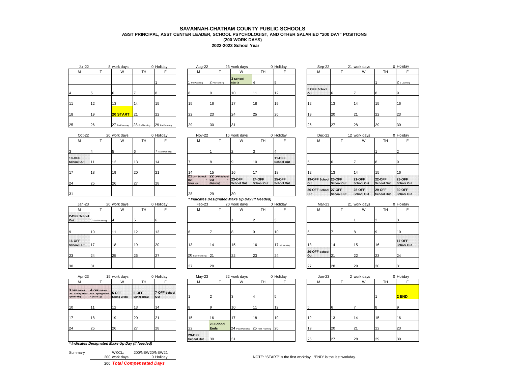## **2022-2023 School Year SAVANNAH-CHATHAM COUNTY PUBLIC SCHOOLS ASST PRINCIPAL, ASST CENTER LEADER, SCHOOL PSYCHOLOGIST, AND OTHER SALARIED "200 DAY" POSITIONS (200 WORK DAYS)**

| <b>Jul-22</b> |    | 8 work days     |                | 0 Holiday      | Aug-22      |               | 23 work days              |           | 0 Holiday | Sep-22              |    | 21 work days |     | $0$ Ho         |
|---------------|----|-----------------|----------------|----------------|-------------|---------------|---------------------------|-----------|-----------|---------------------|----|--------------|-----|----------------|
| М             |    | W               | <b>TH</b>      |                | М           |               | W                         | <b>TH</b> |           | М                   |    | W            | TH. |                |
|               |    |                 |                |                | PrePlanning | 2 PrePlanning | 3 School<br><b>starts</b> |           |           |                     |    |              |     | 2 <sub>0</sub> |
|               |    |                 |                |                |             |               | 110                       | 4 A       |           | 5 OFF School<br>Out |    |              |     |                |
| 11            | 12 | 13              | 14             | 15             | 15          | 16            | 17                        | 18        | 19        | 12                  | 13 | 14           | 15  | 16             |
| 18            | 19 | <b>20 START</b> | 21             | 22             | 22          | 23            | 24                        | 25        | 26        | 19                  | 20 | 21           | 22  | 23             |
| 25            | 26 | 27 PrePlanning  | 28 PrePlanning | 29 PrePlanning | 29          | 30            | 31                        |           |           | 26                  | 27 | 28           | 29  | 30             |

| Holiday        | Aug-22      |               | 23 work days              |    | 0 Holida |
|----------------|-------------|---------------|---------------------------|----|----------|
| F              | M           |               | W                         | TН |          |
| 1              | PrePlanning | 2 PrePlanning | 3 School<br><b>starts</b> | 4  | 5        |
| 8              | 8           | 9             | 10                        | 11 | 12       |
| 15             | 15          | 16            | 17                        | 18 | 19       |
| 22             | 22          | 23            | 24                        | 25 | 26       |
| 29 PrePlanning | 29          | 30            | 31                        |    |          |
|                |             |               |                           |    |          |

| Jul-22 |    | 8 work days     |                | 0 Holiday      |  | Aug-22        |               | 23 work days       |           | 0 Holiday | Sep-22              |    | 21 work days |           | 0 Holiday    |
|--------|----|-----------------|----------------|----------------|--|---------------|---------------|--------------------|-----------|-----------|---------------------|----|--------------|-----------|--------------|
|        |    | W               | TH             |                |  | M             |               | W                  | <b>TH</b> |           | м                   |    | W            | <b>TH</b> |              |
|        |    |                 |                |                |  | 1 PrePlanning | 2 PrePlanning | 3 School<br>starts |           |           |                     |    |              |           | 2 e-Learning |
|        |    |                 |                |                |  |               | ח ו           | 10                 | 11        | 12        | 5 OFF School<br>Out |    |              |           | חו           |
|        | 12 | 12              | 14             | 15             |  | 15            | 16            | 17                 | 18        | 19        | 12                  | 13 | 14           | 15        | 16           |
|        | 19 | <b>20 START</b> | 21             | 22             |  | 22            | 23            | 24                 | 25        | 26        | 19                  | 20 | 21           | 22        | 23           |
|        | 26 | 27 PrePlanning  | 28 PrePlanning | 29 PrePlanning |  | 29            | 30            | 31                 |           |           | 26                  | 27 | 28           | 29        | 30           |

| $Oct-22$                           |     | 20 work days |           | 0 Holiday        | Nov-22                            |                                    | 16 work days            |                                    | 0 Holiday                          | Dec-22                      |            | 12 work days                 |                             | $0$ Ho          |
|------------------------------------|-----|--------------|-----------|------------------|-----------------------------------|------------------------------------|-------------------------|------------------------------------|------------------------------------|-----------------------------|------------|------------------------------|-----------------------------|-----------------|
| M                                  |     | W            | <b>TH</b> |                  | м                                 |                                    | W                       | TH                                 |                                    | M                           |            | W                            | TH.                         |                 |
| 3                                  |     |              |           | 7 Staff Planning |                                   |                                    |                         |                                    |                                    |                             |            |                              |                             |                 |
| <b>10-OFF</b><br><b>School Out</b> | 111 | 12           | 13        | 14               |                                   |                                    |                         | 10                                 | <b>11-OFF</b><br><b>School Out</b> |                             |            |                              |                             |                 |
| 17                                 | 18  | 19           | 20        | 21               | 14                                | 15                                 | 16                      |                                    | 18                                 | 12                          | 13         | 14                           | 15                          | 16              |
| 24                                 | 25  | 26           | 27        | 28               | 21 OFF School<br>Out<br>(Make Up) | 22 OFF School<br>lOut<br>(Make Up) | $123-OFF$<br>School Out | <b>24-OFF</b><br><b>School Out</b> | <b>25-OFF</b><br>School Out        | 19-OFF School 20-OFF<br>Out | School Out | <b>121-OFF</b><br>School Out | <b>22-OFF</b><br>School Out | 23<br><b>Sc</b> |
| 31                                 |     |              |           |                  | 28                                | 29                                 | 30                      |                                    |                                    | 26-OFF School 27-OFF<br>Out | School Out | <b>128-OFF</b><br>School Out | $129-OFF$<br>School Out     | 30<br><b>Sc</b> |

|                                    |                  |              |           |           |                      | $\cdot$ |              | .         |              |                      |             |              |           |                 |
|------------------------------------|------------------|--------------|-----------|-----------|----------------------|---------|--------------|-----------|--------------|----------------------|-------------|--------------|-----------|-----------------|
| $Jan-23$                           |                  | 20 work days |           | 0 Holiday | Feb-23               |         | 20 work days |           | 0 Holiday    | Mar-23               |             | 21 work days |           | $0$ Ho          |
| м                                  |                  | W            | <b>TH</b> |           | М                    |         | W            | <b>TH</b> |              | м                    |             | W            | <b>TH</b> |                 |
| 2-OFF School<br>Out                | 3 Staff Planning |              |           |           |                      |         |              |           |              |                      |             |              |           |                 |
| $\mathbf{Q}$                       | 10               |              | 12        | 13        |                      |         | $\mathbf{8}$ |           | 110          |                      |             | 18           | חו        | 10              |
| <b>16-OFF</b><br><b>School Out</b> | 117              | 18           | 19        | 20        | 13                   | 14      | 15           | 16        | 17 e-Leaming | 10                   | 14          | 15           | 16        | 17<br><b>Sc</b> |
| 23                                 | 24               | 25           | 26        | 27        | 20 Staff Planning 21 |         | 22           | 23        | 24           | 20-OFF School<br>Out | $2^{\circ}$ | 22           | 23        | 24              |
| 30                                 | 31               |              |           |           | 27                   | 28      |              |           |              | 127                  | <b>28</b>   | <b>29</b>    | 30        | 31              |

| Apr-23                                           |                                                        | 15 work days        |                              | 0 Holiday            | $May-23$                           |                          | 22 work days |                                      | 0 Holiday |    | Jun-23 | 2 work days |           | $0$ Ho |
|--------------------------------------------------|--------------------------------------------------------|---------------------|------------------------------|----------------------|------------------------------------|--------------------------|--------------|--------------------------------------|-----------|----|--------|-------------|-----------|--------|
| м                                                |                                                        | W                   | <b>TH</b>                    |                      | M                                  |                          | W            | <b>TH</b>                            |           |    | М      | W           | <b>TH</b> |        |
| 3 OFF School<br>Out. Spring Break<br>* (Make Up) | 4 OFF School<br>Out. Spring Break 5-OFF<br>* (Make Up) | <b>Spring Break</b> | 6-OFF<br><b>Spring Break</b> | 7-OFF School<br>lOut |                                    |                          |              |                                      |           |    |        |             |           | 2      |
| 10                                               |                                                        | 12                  | 113                          | 14                   | l8                                 |                          | 10           |                                      | 12        |    | 6      |             | I8        | g      |
| 17                                               | 18                                                     | 19                  | 20                           | 21                   | 15                                 | 16                       | 17           | 18                                   | 19        | 12 | 13     | 14          | 15        | 16     |
| 24                                               | 25                                                     | 26                  | 27                           | 28                   | 22                                 | 23 School<br><b>Ends</b> |              | 24 Post Planning 25 Post Planning 26 |           | 19 | 20     | 21          | 22        | 23     |
|                                                  |                                                        |                     |                              |                      | <b>29-OFF</b><br><b>School Out</b> | 30                       | 31           |                                      |           | 26 | 27     | 28          | 29        | 30     |

| 200 work days    |                 |
|------------------|-----------------|
|                  | 0 Holiday       |
| WKCL:<br>Summary | 200/NEW20/NEW21 |

| $Oct-22$   |     | 20 work days |           | 0 Holiday      |                                   | <b>Nov-22</b> |                                                | 16 work days                |                             | 0 Holiday                          | Dec-22                      |                   | 12 work days                |                             | 0 Holiday                 |
|------------|-----|--------------|-----------|----------------|-----------------------------------|---------------|------------------------------------------------|-----------------------------|-----------------------------|------------------------------------|-----------------------------|-------------------|-----------------------------|-----------------------------|---------------------------|
|            |     | W            | <b>TH</b> |                |                                   | М             |                                                | W                           | TН                          |                                    | М                           |                   | W                           | <b>TH</b>                   |                           |
|            |     |              | ıb        | Staff Planning |                                   |               |                                                |                             |                             |                                    |                             |                   |                             |                             |                           |
| F<br>I Out | 111 | 12           | 13        |                |                                   |               |                                                |                             | 10                          | <b>11-OFF</b><br><b>School Out</b> |                             |                   |                             |                             |                           |
|            | 18  | 19           | 20        | 121            |                                   |               | 15                                             | 16                          |                             | 18                                 |                             | 13                | 14                          | 15                          | 16                        |
|            | 25  | 26           | 27        | 28             | 21 OFF School<br>Out<br>(Make Up) |               | 22 OFF School<br>lout<br>(Make Up)             | <b>23-OFF</b><br>School Out | <b>24-OFF</b><br>School Out | <b>25-OFF</b><br>School Out        | 19-OFF School 20-OFF<br>Out | <b>School Out</b> | <b>21-OFF</b><br>School Out | <b>22-OFF</b><br>School Out | <b>23-OFF</b><br>School C |
|            |     |              |           |                | 28                                |               | 29                                             | 30                          |                             |                                    | 26-OFF School 27-OFF<br>Out | <b>School Out</b> | <b>28-OFF</b><br>School Out | <b>29-OFF</b><br>School Out | <b>30-OFF</b><br>School C |
|            |     |              |           |                |                                   |               | * Indicates Designated Make Up Day (If Needed) |                             |                             |                                    |                             |                   |                             |                             |                           |

| $Jan-23$                    |                  | 20 work days |           | 0 Holiday | Feb-23               |    | 20 work days |           | 0 Holiday    | Mar-23               |     | 21 work days |           | 0 Holiday                 |
|-----------------------------|------------------|--------------|-----------|-----------|----------------------|----|--------------|-----------|--------------|----------------------|-----|--------------|-----------|---------------------------|
| М                           |                  | W            | <b>TH</b> |           | М                    |    | W            | <b>TH</b> |              | М                    |     | W            | <b>TH</b> |                           |
| 2-OFF School<br>Out         | 3 Staff Planning |              |           | Ib.       |                      |    |              |           |              |                      |     |              |           |                           |
|                             | 10               |              | 12        | 13        |                      |    |              | 9         | 10           |                      |     | <b>R</b>     | $\Omega$  | 10                        |
| 16-OFF<br><b>School Out</b> | 17               | 18           | 19        | <b>20</b> | 13                   | 14 | 15           | 16        | 17 e-Leaming | 13                   | 14  | 15           | 16        | 17-OFF<br><b>School C</b> |
| 23                          | 24               | 25           | 26        | 27        | 20 Staff Planning 21 |    | 22           | 23        | 24           | 20-OFF School<br>Out | 121 | <b>22</b>    | 23        | 24                        |
| 30                          | 31               |              |           |           | 27                   | 28 |              |           |              | 27                   | 28  | 29           | 30        | 31                        |

| Apr-23        |                                                            | 15 work days                 |                              | 0 Holiday                  | $May-23$                           |                          | 22 work days                         |    | 0 Holiday | $Jun-23$ |    | 2 work days |           | 0 Holiday |
|---------------|------------------------------------------------------------|------------------------------|------------------------------|----------------------------|------------------------------------|--------------------------|--------------------------------------|----|-----------|----------|----|-------------|-----------|-----------|
|               |                                                            | W                            | <b>TH</b>                    |                            | М                                  |                          | W                                    | TН |           | M        |    | W           | <b>TH</b> |           |
| School<br>Jp) | 4 OFF School<br>ing Break Out. Spring Break<br>* (Make Up) | 5-OFF<br><b>Spring Break</b> | 6-OFF<br><b>Spring Break</b> | 7-OFF School<br><b>Out</b> |                                    |                          |                                      |    |           |          |    |             |           | $2$ END   |
|               | 11                                                         | 12                           | 13                           | 14                         |                                    |                          | 10                                   |    | 12        |          |    |             |           |           |
|               | 18                                                         | 19                           | 20                           | 21                         | 15                                 | 16                       | 17                                   | 18 | 19        | 12       | 13 | 14          | 15        | 16        |
|               | 25                                                         | 26                           | 27                           | 28                         | 22                                 | 23 School<br><b>Ends</b> | 24 Post Planning 25 Post Planning 26 |    |           | 19       | 20 | 21          | 22        | 23        |
|               |                                                            |                              |                              |                            | <b>29-OFF</b><br><b>School Out</b> | 30                       | 31                                   |    |           | 26       | 27 | 28          | <b>29</b> | 30        |
|               |                                                            |                              |                              |                            |                                    |                          |                                      |    |           |          |    |             |           |           |

| .                                  | ັບບ ⊥∟                      |                   | 14 - 110 111 112 112               |                                    |                                    |
|------------------------------------|-----------------------------|-------------------|------------------------------------|------------------------------------|------------------------------------|
|                                    | м                           |                   | W                                  | TН                                 |                                    |
| 4                                  |                             |                   |                                    |                                    | $\overline{2}$                     |
| <b>11-OFF</b><br><b>School Out</b> | 5                           | 6                 |                                    | 8                                  | 9                                  |
| 18                                 | 12                          | 13                | 14                                 | 15                                 | 16                                 |
| <b>25-OFF</b><br><b>School Out</b> | 19-OFF School 20-OFF<br>Out | <b>School Out</b> | <b>21-OFF</b><br><b>School Out</b> | <b>22-OFF</b><br><b>School Out</b> | <b>23-OFF</b><br><b>School Out</b> |
|                                    | 26-OFF School 27-OFF<br>Out | <b>School Out</b> | <b>28-OFF</b><br><b>School Out</b> | 29-OFF<br><b>School Out</b>        | 30-OFF<br><b>School Out</b>        |

| Mar-23               |    | 21 work days |                | 0 Holiday                          |
|----------------------|----|--------------|----------------|------------------------------------|
| М                    |    | W            | TН             | F                                  |
|                      |    |              | $\overline{2}$ | 3                                  |
| 6                    | 7  | 8            | 9              | 10                                 |
| 13                   | 14 | 15           | 16             | <b>17-OFF</b><br><b>School Out</b> |
| 20-OFF School<br>Out | 21 | 22           | 23             | 24                                 |
| 27                   | 28 | 20           | 30             | 31                                 |

|                          | 22 work days                      |    | 0 Holiday | $Jun-23$ |    | 2 work days |    | 0 Holiday |
|--------------------------|-----------------------------------|----|-----------|----------|----|-------------|----|-----------|
|                          | W                                 | TН | F         | M        |    | W           | TН |           |
| $\overline{2}$           | 3                                 | 4  | 5         |          |    |             |    | 2 END     |
| 9                        | 10                                | 11 | 12        |          | 6  |             | 8  | 9         |
| 16                       | 17                                | 18 | 19        | 12       | 13 | 14          | 15 | 16        |
| 23 School<br><b>Ends</b> | 24 Post Planning 25 Post Planning |    | 26        | 19       | 20 | 21          | 22 | 23        |
| 30                       | 31                                |    |           | 26       | 27 | 28          | 29 | 30        |

200 work days 200 WOTE: "START" is the first workday. "END" is the last workday.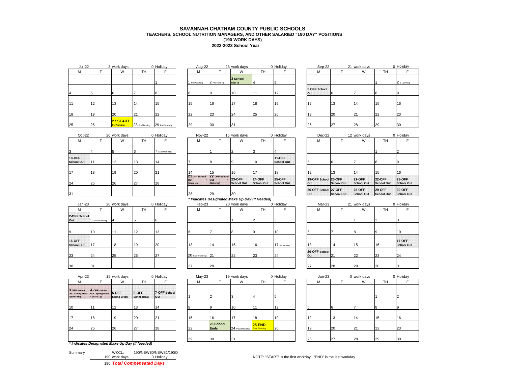## **2022-2023 School Year SAVANNAH-CHATHAM COUNTY PUBLIC SCHOOLS TEACHERS, SCHOOL NUTRITION MANAGERS, AND OTHER SALARIED "190 DAY" POSITIONS (190 WORK DAYS)**

| <b>Jul-22</b> |    | 3 work days                    |                | 0 Holiday      | Aug-22        |               | 23 work days              |           | 0 Holiday | Sep-22              |           | 21 work days |           | 0 Holiday    |
|---------------|----|--------------------------------|----------------|----------------|---------------|---------------|---------------------------|-----------|-----------|---------------------|-----------|--------------|-----------|--------------|
| M             |    | W                              | <b>TH</b>      |                | M             |               | W                         | <b>TH</b> |           | м                   |           | W            | <b>TH</b> |              |
|               |    |                                |                |                | 1 PrePlanning | 2 PrePlanning | 3 School<br><b>starts</b> |           |           |                     |           |              |           | 2 e-Learning |
|               | 5  |                                |                |                |               | 19            | 10                        |           | 12        | 5 OFF School<br>Out |           |              |           | 9            |
| 111           | 12 | 13                             | 14             | 15             | 15            | 16            | 17                        | 18        | 19        | 112                 | 13        | 14           | 15        | 16           |
| 18            | 19 | 20                             | 21             | 22             | 22            | 23            | 24                        | 25        | 26        | 19                  | 20        | 21           | 22        | 23           |
| <b>25</b>     | 26 | 27 START<br><b>PrePlanning</b> | 28 PrePlanning | 29 PrePlanning | 29            | 30            | 31                        |           |           | 26                  | <b>27</b> | 28           | 29        | 30           |

| work days                      |                | 0 Holiday      | Aug-22      |               | 23 work days              |           | 0 Holiday | Sep-22              | 21 | work days        |           | 0 H          |
|--------------------------------|----------------|----------------|-------------|---------------|---------------------------|-----------|-----------|---------------------|----|------------------|-----------|--------------|
| W                              | TН             |                | М           |               | W                         | <b>TH</b> |           | М                   |    | W                | <b>TH</b> |              |
|                                |                |                | PrePlanning | 2 PrePlanning | 3 School<br><b>starts</b> |           |           |                     |    |                  |           | $ 2 \rangle$ |
|                                |                |                |             |               | 10                        |           | 12        | 5 OFF School<br>Out |    |                  |           | 9            |
| 13                             | 14             | 15             | 15          | 16            | 17                        | 18        | 19        | 12                  | 13 | 14 <sup>14</sup> | 15        | 16           |
| 20                             | 21             | 22             | 22          | 23            | 24                        | 25        | 26        | 19                  | 20 | 21               | 22        | 23           |
| 27 START<br><b>PrePlanning</b> | 28 PrePlanning | 29 PrePlanning | 29          | 30            | 31                        |           |           | 26                  | 27 | 28               | 29        | 30           |
|                                |                |                |             |               |                           |           |           |                     |    |                  |           |              |

| work days                 |    | u Hollday | Sep-22              |    | 21 work days |    | u Hollday      |
|---------------------------|----|-----------|---------------------|----|--------------|----|----------------|
| W                         | TН |           | М                   |    | W            | TН |                |
| 3 School<br><b>starts</b> | 4  | 5         |                     |    |              |    | 12 e-Learning  |
| 10                        | 11 | 12        | 5 OFF School<br>Out | 6  |              | 8  | $\overline{9}$ |
| 17                        | 18 | 19        | 12                  | 13 | 14           | 15 | 16             |
| 24                        | 25 | 26        | 19                  | 20 | 21           | 22 | 23             |
| 31                        |    |           | 26                  | 27 | 28           | 29 | 30             |

| $Oct-22$                           |     | 20 work days |     | 0 Holiday        | Nov-22                            |                                    | 16 work days            |                             | 0 Holiday                          | Dec-22                      |            | 12 work days                 |                             | $0$ Ho          |
|------------------------------------|-----|--------------|-----|------------------|-----------------------------------|------------------------------------|-------------------------|-----------------------------|------------------------------------|-----------------------------|------------|------------------------------|-----------------------------|-----------------|
| М                                  |     | W            | TH. |                  | М                                 |                                    | W                       | TH                          |                                    | M                           |            | W                            | TH.                         |                 |
| 13                                 |     |              |     | 7 Staff Planning |                                   |                                    |                         |                             |                                    |                             |            |                              |                             |                 |
| <b>10-OFF</b><br><b>School Out</b> | 111 | 12           | 13  | 14               |                                   |                                    |                         | 10                          | <b>11-OFF</b><br><b>School Out</b> |                             |            |                              | $\mathbf{8}$                |                 |
| 17                                 | 18  | 19           | 20  | 21               | 14                                | 15                                 | 16                      |                             | 18                                 | 12                          | 13         | 14                           | 15                          | 16              |
| 24                                 | 25  | 26           | 27  | 28               | 21 OFF School<br>Out<br>(Make Up) | 22 OFF School<br>lout<br>(Make Up) | $123-OFF$<br>School Out | <b>24-OFF</b><br>School Out | <b>25-OFF</b><br>School Out        | 19-OFF School 20-OFF<br>Out | School Out | <b>121-OFF</b><br>School Out | <b>22-OFF</b><br>School Out | 23<br><b>Sc</b> |
| 31                                 |     |              |     |                  | 28                                | 29                                 | 30                      |                             |                                    | 26-OFF School 27-OFF<br>Out | School Out | <b>128-OFF</b><br>School Out | $129-OFF$<br>School Out     | 30<br><b>Sc</b> |

|                                    |                  |              |           |           |                      |    |              | . .            |                 |                      |    |              |     |                 |
|------------------------------------|------------------|--------------|-----------|-----------|----------------------|----|--------------|----------------|-----------------|----------------------|----|--------------|-----|-----------------|
| $Jan-23$                           |                  | 20 work days |           | 0 Holiday | Feb-23               |    | 20 work days |                | 0 Holiday       | Mar-23               |    | 21 work days |     | $0$ Ho          |
| м                                  |                  | W            | <b>TH</b> |           | M                    |    | W            | TH <sub></sub> |                 | М                    |    | W            | TH. |                 |
| 2-OFF School<br>Out                | 3 Staff Planning |              |           |           |                      |    |              |                |                 |                      |    |              |     |                 |
| $\mathbf{Q}$                       | 10               |              | 12        | 13        |                      |    |              |                | 11 <sub>0</sub> |                      |    | 18           | חו  | 10              |
| <b>16-OFF</b><br><b>School Out</b> | 17               | 18           | 10        | 20        | 12                   | 14 | 15           | 16             | 17 e-Leaming    | $\sqrt{2}$           | 14 | 15           | 16  | 17<br><b>Sc</b> |
| 23                                 | 24               | 25           | 26        | 27        | 20 Staff Planning 21 |    | 22           | 23             | 24              | 20-OFF School<br>Out |    | 22           | 23  | 24              |
| 30                                 | 31               |              |           |           | 27                   | 28 |              |                |                 | 27                   | 28 | <b>29</b>    | 30  | 31              |

| $Oct-22$   |     | 20 work days |    | 0 Holiday      |     | Nov-22                     |                                                | 16 work days                |                             | 0 Holiday                          | Dec-22                      |                   | 12 work days                 |                              | 0 Holiday                 |
|------------|-----|--------------|----|----------------|-----|----------------------------|------------------------------------------------|-----------------------------|-----------------------------|------------------------------------|-----------------------------|-------------------|------------------------------|------------------------------|---------------------------|
|            |     | W            | TH |                |     | М                          |                                                | W                           | TН                          |                                    | М                           |                   | W                            | TH                           |                           |
|            |     |              |    | Staff Planning |     |                            |                                                |                             |                             |                                    |                             |                   |                              |                              |                           |
| F<br>l Out | 111 | 12           | 13 | 14             |     |                            |                                                |                             | 10                          | <b>11-OFF</b><br><b>School Out</b> |                             |                   |                              |                              |                           |
|            | 18  | 19           | 20 | 21             |     |                            | 15                                             | 16                          |                             | 18                                 | 12                          | 13                | 14                           | 15                           | 16                        |
|            | 25  | 26           | 27 | 28             | Out | 21 OFF School<br>(Make Up) | 22 OFF School<br>lout<br>(Make Up)             | <b>23-OFF</b><br>School Out | <b>24-OFF</b><br>School Out | <b>25-OFF</b><br>School Out        | 19-OFF School 20-OFF<br>Out | School Out        | <b>121-OFF</b><br>School Out | <b>122-OFF</b><br>School Out | <b>23-OFF</b><br>School C |
|            |     |              |    |                | 28  |                            | 29                                             | 30                          |                             |                                    | 26-OFF School 27-OFF<br>Out | <b>School Out</b> | <b>128-OFF</b><br>School Out | <b>29-OFF</b><br>School Out  | 30-OFF<br>School C        |
|            |     |              |    |                |     |                            | * Indicates Designated Make Up Day (If Needed) |                             |                             |                                    |                             |                   |                              |                              |                           |

| $Jan-23$                    |                  | 20 work days |    | 0 Holiday | Feb-23               |    | 20 work days |           | 0 Holiday     | Mar-23               |     | 21 work days |           | 0 Holiday                        |
|-----------------------------|------------------|--------------|----|-----------|----------------------|----|--------------|-----------|---------------|----------------------|-----|--------------|-----------|----------------------------------|
|                             |                  | W            | TH |           | М                    |    | W            | <b>TH</b> |               | М                    |     | W            | <b>TH</b> |                                  |
| 2-OFF School<br>Out         | 3 Staff Planning |              |    |           |                      |    |              |           |               |                      |     |              |           |                                  |
|                             | 10               |              | 12 | 13        |                      |    |              |           | 10            |                      |     |              |           | 10                               |
| 16-OFF<br><b>School Out</b> | 17               | 18           | 19 | 20        | 13                   | 14 | 15           | 16        | 17 e-Learning | 10                   | 14  | 15           | 16        | <b>17-OFF</b><br><b>School C</b> |
| 23                          | 24               | 25           | 26 | 27        | 20 Staff Planning 21 |    | 22           | 23        | 24            | 20-OFF School<br>Out | 121 | 22           | 23        | 24                               |
| 30                          | 31               |              |    |           | 27                   | 28 |              |           |               | 27                   | 28  | 29           | 30        | 31                               |

| Apr-23                                           |                                                        | 15 work days        |                              | 0 Holiday            |    | $May-23$ |                          | 19 work days     |                                       | 0 Holiday | $Jun-23$ |    | 0 work days |    | $0$ Ho |
|--------------------------------------------------|--------------------------------------------------------|---------------------|------------------------------|----------------------|----|----------|--------------------------|------------------|---------------------------------------|-----------|----------|----|-------------|----|--------|
| М                                                |                                                        | W                   | TH                           |                      |    | М        |                          | W                | TH                                    |           | М        |    | W           | TH |        |
| 3 OFF School<br>Out. Spring Break<br>* (Make Up) | 4 OFF School<br>Out. Spring Break 5-OFF<br>* (Make Up) | <b>Spring Break</b> | 6-OFF<br><b>Spring Break</b> | 7-OFF School<br>lOut |    |          |                          |                  |                                       |           |          |    |             |    |        |
| 10                                               | 11                                                     | 12                  | 13                           | 14                   |    |          |                          | 10               |                                       |           |          |    |             |    |        |
| 17                                               | 18                                                     | 19                  | 20                           | 21                   | 15 |          | 16                       | $4 -$            | 18                                    | 19        |          | 13 | 14          | 15 | 16     |
| 24                                               | 25                                                     | 26                  | 27                           | 28                   | 22 |          | 23 School<br><b>Ends</b> | 24 Post Planning | <b>25 END</b><br><b>Post Planning</b> | 26        | 19       | 20 | 21          | 22 | 23     |
|                                                  |                                                        |                     |                              |                      | 29 |          | 30                       | 31               |                                       |           | 26       | 27 | <b>28</b>   | 29 | 30     |
|                                                  | * Indicates Designated Make Up Day (If Needed)         |                     |                              |                      |    |          |                          |                  |                                       |           |          |    |             |    |        |

|         |               | 100 Total Componented Dave |
|---------|---------------|----------------------------|
|         | 190 work days | 0 Holiday                  |
| Summary | WKCL:         | 190/NEW80/NEW81/190O       |

190 *Total Compensated Days*

| Apr-23        |                                                            | 15 work days          |                              | 0 Holiday            |    | $May-23$ |                          | 19 work days     |                           | 0 Holiday | $Jun-23$ |    | 0 work days |                | 0 Holiday |
|---------------|------------------------------------------------------------|-----------------------|------------------------------|----------------------|----|----------|--------------------------|------------------|---------------------------|-----------|----------|----|-------------|----------------|-----------|
|               |                                                            | W                     | <b>TH</b>                    |                      |    | М        |                          | W                | <b>TH</b>                 |           | М        |    | W           | TH <sub></sub> |           |
| School<br>Jp) | 4 OFF School<br>ing Break Out. Spring Break<br>* (Make Up) | 5-OFF<br>Spring Break | 6-OFF<br><b>Spring Break</b> | 7-OFF School<br>lOut |    |          |                          |                  |                           |           |          |    |             |                |           |
|               | 11                                                         | 12                    | 13                           |                      |    |          |                          | 110              |                           | 12        |          |    |             |                |           |
|               | 18                                                         | 19                    | 20                           | 21                   |    |          | 16                       | 17               | 18                        | 19        | 12       | 13 | 14          | 15             | 16        |
|               | 25                                                         | 26                    | 27                           | 28                   | 22 |          | 23 School<br><b>Ends</b> | 24 Post Planning | $25$ END<br>Post Planning | 26        | 19       | 20 | 21          | 22             | 23        |
|               |                                                            |                       |                              |                      | 20 |          | 30                       | 31               |                           |           | 26       | 27 | 28          | 29             | 30        |
|               |                                                            |                       |                              |                      |    |          |                          |                  |                           |           |          |    |             |                |           |

#### **School Out 5 6 7 8 9 19-OFF School 20-OFF Out School Out 21-OFF School Out 22-OFF School Out 23-OFF School Out 26-OFF School Out 27-OFF School Out 28-OFF School Out 29-OFF School Out 30-OFF School Out**

| Mar-23               |    | 21 work days |    | 0 Holiday                          |
|----------------------|----|--------------|----|------------------------------------|
| М                    |    | W            | TH |                                    |
|                      |    |              | 2  | 3                                  |
| 6                    | 7  | 8            | 9  | 10                                 |
| 13                   | 14 | 15           | 16 | <b>17-OFF</b><br><b>School Out</b> |
| 20-OFF School<br>Out | 21 | 22           | 23 | 24                                 |
| 27                   | 28 | 29           | 30 | 31                                 |

|                                | 0 Holiday | <b>Jun-23</b> |    | 0 work days    |    | 0 Holiday |
|--------------------------------|-----------|---------------|----|----------------|----|-----------|
| TH                             | F         | M             |    | W              | TH | F         |
| 4                              | 5         |               |    |                |    | 2         |
| 11                             | 12        | 5             | 6  | $\overline{7}$ | 8  | 9         |
| 18                             | 19        | 12            | 13 | 14             | 15 | 16        |
| <b>25 END</b><br>Post Planning | 26        | 19            | 20 | 21             | 22 | 23        |
|                                |           | 26            | 27 | 28             | 29 | 30        |

NOTE: "START" is the first workday. "END" is the last workday.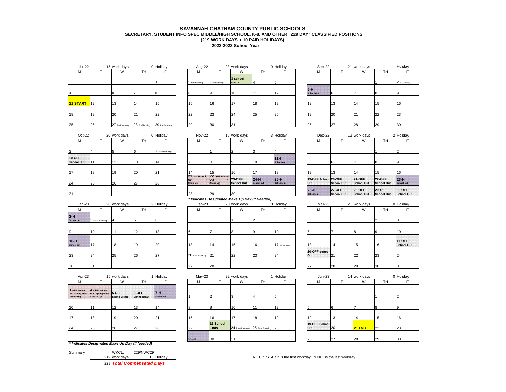## **2022-2023 School Year SAVANNAH-CHATHAM COUNTY PUBLIC SCHOOLS SECRETARY, STUDENT INFO SPEC MIDDLE/HIGH SCHOOL, K-8, AND OTHER "229 DAY" CLASSIFIED POSITIONS (219 WORK DAYS + 10 PAID HOLIDAYS)**

|          | <b>Jul-22</b> |    | 15 work days   |                               | 0 Holiday | Aug-22        |               | 23 work days              |           | 0 Holiday | Sep-22                     |    | 21 work days |    | 1 Holiday    |
|----------|---------------|----|----------------|-------------------------------|-----------|---------------|---------------|---------------------------|-----------|-----------|----------------------------|----|--------------|----|--------------|
|          | м             |    | W              | <b>TH</b>                     |           | М             |               | W                         | <b>TH</b> |           | M                          |    | W            | TH |              |
|          |               |    |                |                               |           | 1 PrePlanning | 2 PrePlanning | 3 School<br><b>starts</b> |           |           |                            |    |              |    | 2 e-Learning |
|          |               |    |                |                               |           |               |               | 10                        |           | 12        | $5-H$<br><b>School Out</b> | ıb |              |    |              |
| 11 START |               | 12 | 13             | 114                           | 15        | 15            | 16            | 17                        | 18        | 19        | 10                         | 13 | 14           | 15 | 16           |
| 18       |               | 19 | 20             | 21                            | 22        | 22            | 23            | 24                        | 25        | 26        | 10                         | 20 | 21           | 22 | 23           |
| 25       |               | 26 | 27 PrePlanning | 28 PrePlanning 29 PrePlanning |           | 29            | 30            | 31                        |           |           | 26                         | 27 | <b>28</b>    | 29 | 30           |

| Holiday        | Aug-22      |               | 23 work days              |    | 0 Holida |
|----------------|-------------|---------------|---------------------------|----|----------|
| F              | М           |               | W                         | TН | F        |
| 1              | PrePlanning | 2 PrePlanning | 3 School<br><b>starts</b> | 4  | 5        |
| 8              | 8           | 9             | 10                        | 11 | 12       |
| 15             | 15          | 16            | 17                        | 18 | 19       |
| 22             | 22          | 23            | 24                        | 25 | 26       |
| 29 PrePlanning | 29          | 30            | 31                        |    |          |
|                |             |               |                           |    |          |

| $Oct-22$                    |    | 20 work days |    | 0 Holiday      | Nov-22                            |                                    | 16 work days                |                             | 3 Holiday                   | Dec-22                      |                              | 12 work days                 |                             | 2H              |
|-----------------------------|----|--------------|----|----------------|-----------------------------------|------------------------------------|-----------------------------|-----------------------------|-----------------------------|-----------------------------|------------------------------|------------------------------|-----------------------------|-----------------|
| M                           |    | W            | TН |                | M                                 |                                    | W                           | <b>TH</b>                   |                             | M                           |                              | W                            | TH.                         |                 |
| 13                          |    |              |    | Staff Planning |                                   |                                    |                             |                             |                             |                             |                              |                              |                             |                 |
| 10-OFF<br><b>School Out</b> |    | 12           | 13 | 14             |                                   |                                    |                             | 10                          | $11-H$<br><b>School out</b> |                             |                              |                              |                             |                 |
| 117                         | 18 | 19           | 20 | 21             | 14                                | 15                                 | 16                          | 17                          | 18                          | 12                          | 13                           | 14                           | 15                          | 16              |
| 24                          | 25 | 26           | 27 | 28             | 21 OFF School<br>Out<br>(Make Up) | 22 OFF School<br>lout<br>(Make Up) | <b>23-OFF</b><br>School Out | $24-H$<br><b>School out</b> | $125-H$<br>School out       | 19-OFF School 20-OFF<br>Out | School Out                   | <b>21-OFF</b><br>School Out  | <b>22-OFF</b><br>School Out | 23<br>Sch       |
| 31                          |    |              |    |                | 28                                | 29                                 | 30                          |                             |                             | $26-H$<br><b>School out</b> | <b>127-OFF</b><br>School Out | <b>128-OFF</b><br>School Out | $129-OFF$<br>School Out     | 30<br><b>Sc</b> |

| $Jan-23$                    |                  | 20 work days |    | 2 Holiday | Feb-23               |    | 20 work days |    | 0 Holiday    | Mar-23               |     | 21 work days |                 | $0$ Ho          |
|-----------------------------|------------------|--------------|----|-----------|----------------------|----|--------------|----|--------------|----------------------|-----|--------------|-----------------|-----------------|
| М                           |                  | W            | TH |           | M                    |    | W            | TH |              | М                    |     | W            | TH              |                 |
| 2-H<br>School out           | 3 Staff Planning |              |    |           |                      |    |              |    |              |                      |     |              |                 |                 |
| 19                          | 10               |              | 12 | 13        |                      |    |              | חו | 10           |                      |     | 18           | $\overline{10}$ | 10              |
| $16-H$<br><b>School out</b> | 17               | 18           | 19 | 20        | 13                   | 14 | 15           | 16 | 17 e-Leaming | 13                   | 14  | 15           | 16              | 17<br><b>Sc</b> |
| 23                          | 24               | 25           | 26 | 27        | 20 Staff Planning 21 |    | 22           | 23 | 24           | 20-OFF School<br>Out | 121 | 22           | 23              | 24              |
| 30                          | 31               |              |    |           | 27                   | 28 |              |    |              | 27                   | 28  | 29           | 30              | 31              |

| $Oct-22$    |    | 20 work days |           | 0 Holiday      |                                   | <b>Nov-22</b>                                  | 16 work days                |                             | 3 Holiday                   | Dec-22                      |                              | 12 work days                 |                              | 2 Holiday                   |
|-------------|----|--------------|-----------|----------------|-----------------------------------|------------------------------------------------|-----------------------------|-----------------------------|-----------------------------|-----------------------------|------------------------------|------------------------------|------------------------------|-----------------------------|
|             |    | W            | <b>TH</b> |                | м                                 |                                                | W                           | TН                          |                             | м                           |                              | W                            | <b>TH</b>                    |                             |
|             |    |              |           | Staff Planning |                                   |                                                |                             |                             |                             |                             |                              |                              |                              |                             |
| Έ.<br>I Out | 11 | 12           | 13        | 14             |                                   |                                                |                             | 10                          | $11-H$<br><b>School out</b> |                             |                              |                              |                              |                             |
|             | 18 | 19           | 20        | 21             |                                   | 15                                             | 16                          |                             | 18                          |                             | 13                           | 14                           | 15                           | 16                          |
|             | 25 | 26           | 27        | 28             | 21 OFF School<br>Out<br>(Make Up) | 22 OFF School<br>lout<br>(Make Up)             | <b>23-OFF</b><br>School Out | $24-H$<br><b>School out</b> | $25-H$<br>School out        | 19-OFF School 20-OFF<br>Out | School Out                   | <b>21-OFF</b><br>School Out  | <b>122-OFF</b><br>School Out | $23-H$<br><b>School out</b> |
|             |    |              |           |                | 28                                | 29                                             | 30                          |                             |                             | $26-H$<br><b>School out</b> | <b>127-OFF</b><br>School Out | <b>128-OFF</b><br>School Out | <b>29-OFF</b><br>School Out  | 30-OFF<br>School C          |
|             |    |              |           |                |                                   | * Indicates Designated Make Up Day (If Needed) |                             |                             |                             |                             |                              |                              |                              |                             |

| $Jan-23$                    |                  | 20 work days |           | 2 Holiday | Feb-23               |    | 20 work days |           | 0 Holiday    | Mar-23               |     | 21 work days |    | $0$ Ho          |
|-----------------------------|------------------|--------------|-----------|-----------|----------------------|----|--------------|-----------|--------------|----------------------|-----|--------------|----|-----------------|
| М                           |                  | W            | <b>TH</b> |           |                      |    | W            | <b>TH</b> |              | M                    |     | W            | TH |                 |
| $2-H$<br><b>School out</b>  | 3 Staff Planning |              |           |           |                      |    |              |           |              |                      |     |              |    |                 |
|                             | 10               | 11           | 12        | 13        |                      |    |              |           | 110          | <b>R</b>             |     |              |    | 10              |
| $16-H$<br><b>School out</b> | 17               | 18           | 19        | 20        | 13                   | 14 | 15           | 16        | 17 e-Leaming | 13                   | 114 | 15           | 16 | 17<br><b>Sc</b> |
| 23                          | 24               | 25           | 26        | 27        | 20 Staff Planning 21 |    | 22           | 23        | 24           | 20-OFF School<br>Out | 21  | 22           | 23 | 24              |
| 30                          | 31               |              |           |           | 27                   | 28 |              |           |              | 27                   | 28  | 29           | 30 | 31              |

| Apr-23                                         |                                                  | 15 work days                 |                              | 1 Holidav                    |    |
|------------------------------------------------|--------------------------------------------------|------------------------------|------------------------------|------------------------------|----|
| м                                              |                                                  | W                            | TН                           | F                            |    |
| 3 OFF School<br>Out. Spring Break<br>(Make Up) | 4 OFF School<br>Out. Spring Break<br>* (Make Up) | 5-OFF<br><b>Spring Break</b> | 6-OFF<br><b>Spring Break</b> | $7 - H$<br><b>School out</b> |    |
| 10                                             | 11                                               | 12                           | 13                           | 14                           | 8  |
| 17                                             | 18                                               | 19                           | 20                           | 21                           | 15 |
| 24                                             | 25                                               | 26                           | 27                           | 28                           | 22 |
|                                                | * Indicates Designated Make Up Day (If Needed)   |                              |                              |                              | 29 |

| 219 work days    | 10 H      |
|------------------|-----------|
| Summary<br>WKCL: | 229/NWC29 |

229 *Total Compensated Days*

|            | 18               | 19             | 20  | 21        | 14                                | 15                                             | 16                          |                             | 18                   |                             | 13                           | 14                           | 15                                 | 16                          |
|------------|------------------|----------------|-----|-----------|-----------------------------------|------------------------------------------------|-----------------------------|-----------------------------|----------------------|-----------------------------|------------------------------|------------------------------|------------------------------------|-----------------------------|
|            | 25               | 26             | 27  | 28        | 21 OFF School<br>Out<br>(Make Up) | 22 OFF School<br>lOut<br>(Make Up)             | <b>23-OFF</b><br>School Out | $24-H$<br><b>School out</b> | $25-H$<br>School out | 19-OFF School 20-OFF<br>Out | School Out                   | <b>21-OFF</b><br>School Out  | <b>122-OFF</b><br>School Out       | $23-H$<br><b>School out</b> |
|            |                  |                |     |           | 28                                | 29                                             | 30                          |                             |                      | $26-H$<br><b>School out</b> | <b>127-OFF</b><br>School Out | <b>128-OFF</b><br>School Out | <b>29-OFF</b><br><b>School Out</b> | 30-OFF<br>School C          |
|            |                  |                |     |           |                                   | * Indicates Designated Make Up Day (If Needed) |                             |                             |                      |                             |                              |                              |                                    |                             |
| Jan-23     |                  | 20 work days   |     | 2 Holiday | Feb-23                            |                                                | 20 work days                |                             | 0 Holiday            | Mar-23                      |                              | 21 work days                 |                                    | 0 Holiday                   |
| M          |                  | W              | TH  |           | м                                 |                                                | W                           | TH                          |                      | м                           |                              | W                            | TH                                 |                             |
| шf         | 3 Staff Planning |                |     |           |                                   |                                                |                             |                             |                      |                             |                              |                              |                                    |                             |
|            | 10               |                | 12  | 13        |                                   |                                                |                             |                             | 10                   |                             |                              |                              |                                    | 10                          |
| <b>TIP</b> | 117              | 1 <sub>9</sub> | 110 | 20        | 12                                | 11                                             | 15                          | 16                          | 17                   | 13                          | 11A                          | 145                          | 146                                | <b>17-OFF</b><br>School C   |

| ÷Н<br>lool out | <b>27-OFF</b><br><b>School Out</b> | <b>28-OFF</b><br><b>School Out</b> | <b>29-OFF</b><br><b>School Out</b> | 30-OFF<br><b>School Out</b>                      |
|----------------|------------------------------------|------------------------------------|------------------------------------|--------------------------------------------------|
| Mar-23         |                                    | 21 work days                       |                                    | 0 Holiday                                        |
| м              |                                    | W                                  | TН                                 |                                                  |
|                |                                    |                                    | 2                                  | 3                                                |
|                |                                    | 8                                  | 9                                  | 10                                               |
|                | $\overline{1}$                     | $\overline{a}$                     | $\overline{ }$                     | <b>17-OFF</b><br><b>CONTRACTOR COMMUNICATION</b> |

| 13                   | 14 | 15 | 16 | <b>School Out</b> |
|----------------------|----|----|----|-------------------|
| 20-OFF School<br>Out | 21 | 22 | 23 | 24                |
| $\sim$               | 28 | 29 | 30 | ົ<br>5.           |

| Apr-23                                         |                                                        | 15 work days        |                              | Holiday                  |        | $May-23$ |                          | 22 work days                         |    | 1 Holiday | $Jun-23$             |    | 14 work days  |    | 0 Holiday |
|------------------------------------------------|--------------------------------------------------------|---------------------|------------------------------|--------------------------|--------|----------|--------------------------|--------------------------------------|----|-----------|----------------------|----|---------------|----|-----------|
|                                                |                                                        | W                   | TH                           |                          |        | м        |                          | W                                    | TH |           | м                    |    | W             | TH |           |
| 3 OFF School<br>Out. Spring Break<br>(Make Up) | 4 OFF School<br>Out. Spring Break 5-OFF<br>* (Make Up) | <b>Spring Break</b> | 6-OFF<br><b>Spring Break</b> | <b>74H</b><br>School out |        |          |                          |                                      |    |           |                      |    |               |    |           |
| 10                                             |                                                        | 12                  | 13                           | 14                       |        |          |                          | 10                                   |    | 12        |                      |    |               |    |           |
| 17                                             | 18                                                     | 19                  | 20                           | 21                       | 15     |          | 16                       | 17                                   | 18 | 19        |                      | 13 | 14            | 15 | 16        |
| 24                                             | 25                                                     | 26                  | 27                           | 28                       | 22     |          | 23 School<br><b>Ends</b> | 24 Post Planning 25 Post Planning 26 |    |           | 19-OFF School<br>Out | 20 | <b>21 END</b> | 22 | 23        |
|                                                |                                                        |                     |                              |                          | $29-H$ |          | 30                       | 24                                   |    |           | 26                   | 27 | 28            | 29 | 30        |

| M                    |    | W             | TH | F              |
|----------------------|----|---------------|----|----------------|
|                      |    |               |    |                |
|                      |    |               |    | $\overline{2}$ |
| 5                    | 6  | 7             | 8  | 9              |
| 12                   | 13 | 14            | 15 | 16             |
| 19-OFF School<br>Out | 20 | <b>21 END</b> | 22 | 23             |
| 26                   | 27 | 28            | 29 | 30             |

219 work days 10 NOTE: "START" is the first workday. "END" is the last workday.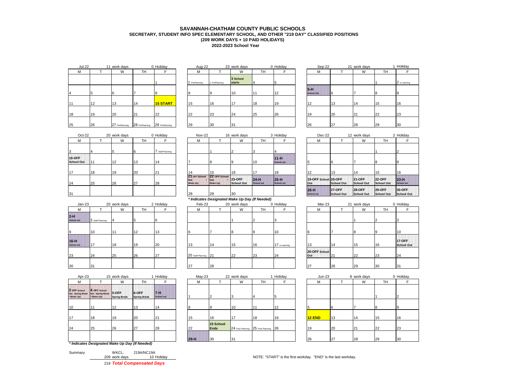## **2022-2023 School Year SAVANNAH-CHATHAM COUNTY PUBLIC SCHOOLS SECRETARY, STUDENT INFO SPEC ELEMENTARY SCHOOL, AND OTHER "219 DAY" CLASSIFIED POSITIONS (209 WORK DAYS + 10 PAID HOLIDAYS)**

| <b>Jul-22</b> |    | 11 work days   |                | 0 Holiday       | Aug-22                 |               | 23 work days              |           | 0 Holiday | Sep-22                       |             | 21 work days |           | 1 Holiday    |
|---------------|----|----------------|----------------|-----------------|------------------------|---------------|---------------------------|-----------|-----------|------------------------------|-------------|--------------|-----------|--------------|
| M             |    | W              | <b>TH</b>      |                 | <b>A</b><br><b>IVI</b> |               | W                         | <b>TH</b> |           | M                            |             | W            | <b>TH</b> |              |
|               |    |                |                |                 | PrePlanning            | 2 PrePlanning | 3 School<br><b>starts</b> |           |           |                              |             |              |           | 2 e-Learning |
|               |    | 6              |                |                 |                        |               | 10                        | 111       | 12        | $5 - H$<br><b>School Out</b> | $\mathbf b$ |              |           |              |
| 11            | 12 | 13             | 14             | <b>15 START</b> | 15                     | 16            | 17                        | 18        | 19        | 12                           | 13          | 14           | 15        | 16           |
| 18            | 19 | 20             | 21             | 22              | 22                     | 23            | 24                        | 25        | 26        | 19                           | 20          |              | 22        | 23           |
| 25            | 26 | 27 PrePlanning | 28 PrePlanning | 29 PrePlanning  | 29                     | 30            | 31                        |           |           | 26                           | 27          | 28           | 29        | 30           |

| Holiday         | Aug-22      |               | 23 work days       |    | 0 Holida |
|-----------------|-------------|---------------|--------------------|----|----------|
| F               | М           |               | W                  | TН | F        |
| 1               | PrePlanning | 2 PrePlanning | 3 School<br>starts | 4  | 5        |
| 8               | 8           | 9             | 10                 | 11 | 12       |
| <b>15 START</b> | 15          | 16            | 17                 | 18 | 19       |
| 22              | 22          | 23            | 24                 | 25 | 26       |
| 29 PrePlanning  | 29          | 30            | 31                 |    |          |
|                 |             |               |                    |    |          |

| Jul-22 |    | 11 work days                  |     | 0 Holiday       | Aug-22        |               | 23 work days       |                | 0 Holiday | Sep-22                     |    | 21 work days |           | Holiday      |
|--------|----|-------------------------------|-----|-----------------|---------------|---------------|--------------------|----------------|-----------|----------------------------|----|--------------|-----------|--------------|
|        |    | W                             | TH. |                 | M             |               | W                  | TH <sub></sub> |           | M                          |    | W            | <b>TH</b> |              |
|        |    |                               |     |                 | 1 PrePlanning | 2 PrePlanning | 3 School<br>starts |                |           |                            |    |              |           | 2 e-Learning |
|        |    |                               |     |                 |               |               | 10                 | 44             | 12<br>14  | $5-H$<br><b>School Out</b> |    |              |           |              |
|        | 12 | 13                            | 14  | <b>15 START</b> | 15            | 16            |                    | 18             | 19        | 12                         | 13 | 14           | 15        | 16           |
|        | 19 | 20                            | 21  | 22              | 22            | 23            | 24                 | 25             | 26        | 19                         | 20 | 21           | 22        | 23           |
|        | 26 | 27 PrePlanning 28 PrePlanning |     | 29 PrePlanning  | 29            | 30            | 31                 |                |           | 26                         | 27 | 28           | 29        | 30           |

| $Oct-22$                           |     | 20 work days |           | 0 Holiday        | Nov-22                            |                                   | 16 work days                |                             | 3 Holiday                   | Dec-22                      |                              | 12 work days                 |                             | 2H               |
|------------------------------------|-----|--------------|-----------|------------------|-----------------------------------|-----------------------------------|-----------------------------|-----------------------------|-----------------------------|-----------------------------|------------------------------|------------------------------|-----------------------------|------------------|
| M                                  |     | W            | <b>TH</b> |                  | м                                 |                                   | W                           | TH                          |                             | M                           |                              | W                            | TH.                         |                  |
| 3                                  |     |              |           | 7 Staff Planning |                                   |                                   |                             |                             |                             |                             |                              |                              |                             |                  |
| <b>10-OFF</b><br><b>School Out</b> | 111 | 12           | 13        | 14               |                                   |                                   |                             | 10                          | $11-H$<br><b>School out</b> |                             |                              |                              |                             |                  |
| 17                                 | 18  | 19           | 20        | 21               | 14                                | 15                                | 16                          | 17                          | 18                          | 12                          | 13                           | 14                           | 15                          | 16               |
| 24                                 | 25  | 26           | 27        | 28               | 21 OFF School<br>Out<br>(Make Up) | 22 OFF School<br>Out<br>(Make Up) | <b>23-OFF</b><br>School Out | $24-H$<br><b>School out</b> | $25-H$<br>School out        | 19-OFF School 20-OFF<br>Out | School Out                   | <b>121-OFF</b><br>School Out | <b>22-OFF</b><br>School Out | 23<br><b>Sch</b> |
| 31                                 |     |              |           |                  | 28                                | 29                                | 30                          |                             |                             | $26-H$<br><b>School out</b> | <b>127-OFF</b><br>School Out | <b>128-OFF</b><br>School Out | $129-OFF$<br>School Out     | 30<br><b>Sc</b>  |

|                             |                  |              |           |           |                      |    |              | .  |              |                      |     |              |           |                 |
|-----------------------------|------------------|--------------|-----------|-----------|----------------------|----|--------------|----|--------------|----------------------|-----|--------------|-----------|-----------------|
| $Jan-23$                    |                  | 20 work days |           | 2 Holiday | Feb-23               |    | 20 work days |    | 0 Holiday    | Mar-23               |     | 21 work days |           | $0$ Ho          |
| м                           |                  | W            | <b>TH</b> |           | М                    |    | W            | TH |              | М                    |     | W            | <b>TH</b> |                 |
| 2-H<br>School out           | 3 Staff Planning |              |           |           |                      |    |              |    |              |                      |     |              |           |                 |
| $\mathbf{9}$                | 110              |              | 12        | 13        |                      |    |              |    | 10           |                      |     | 18           |           | 10              |
| $16-H$<br><b>School out</b> | 17               | 18           | 19        | 20        | 13                   | 14 | 15           | 16 | 17 e-Leaming | $\sqrt{2}$           | 14  | 15           | 16        | 17<br><b>Sc</b> |
| 23                          | 24               | 25           | 26        | 27        | 20 Staff Planning 21 |    | 22           | 23 | 24           | 20-OFF School<br>Out | 121 | 22           | 23        | 24              |
| 30                          | 31               |              |           |           | 27                   | 28 |              |    |              | 27                   | 28  | 29           | 30        | 31              |

| Apr-23                                           |                                                  | 15 work days                  |                              | Holiday                      | $May-23$ |                          | 22 work days |                                      | Holiday | $Jun-23$ |    | 8 work days |    | $0$ Ho |
|--------------------------------------------------|--------------------------------------------------|-------------------------------|------------------------------|------------------------------|----------|--------------------------|--------------|--------------------------------------|---------|----------|----|-------------|----|--------|
| M                                                |                                                  | W                             | TH                           |                              | м        |                          | W            | <b>TH</b>                            |         | м        |    | W           | TH |        |
| 3 OFF School<br>Out. Spring Break<br>* (Make Up) | 4 OFF School<br>Out. Spring Break<br>* (Make Up) | 15-OFF<br><b>Spring Break</b> | 6-OFF<br><b>Spring Break</b> | $7 - H$<br><b>School out</b> |          |                          |              |                                      |         |          |    |             |    |        |
| 10                                               | 11                                               | 12                            | 13                           | 14                           |          |                          | 10           |                                      | 12      |          |    |             | 8  |        |
| 17                                               | 18                                               | 19                            | 20                           | 21                           | 15       | 16                       | 17           | 18                                   | 19      | 12 END   | 13 | 114         | 15 | 16     |
| 24                                               | 25                                               | 26                            | 27                           | 28                           | 22       | 23 School<br><b>Ends</b> |              | 24 Post Planning 25 Post Planning 26 |         | 19       | 20 | 21          | 22 | 23     |
|                                                  |                                                  |                               |                              |                              | $29-H$   | 30                       | 31           |                                      |         | 26       | 27 | 28          | 29 | 30     |
|                                                  | * Indicates Designated Make Up Day (If Needed)   |                               |                              |                              |          |                          |              |                                      |         |          |    |             |    |        |

| 219 Total Compensated Days |            |
|----------------------------|------------|
| 209 work days              | 10 Holida  |
| Summary<br>WKCL:           | 219A/NC19A |

| $Oct-22$    |    | 20 work days |    | 0 Holiday      |                  | <b>Nov-22</b> |                                                | 16 work days                |                             | 3 Holiday                   | $Dec-22$                    |                              | 12 work days                 |                             | 2 Holiday                   |
|-------------|----|--------------|----|----------------|------------------|---------------|------------------------------------------------|-----------------------------|-----------------------------|-----------------------------|-----------------------------|------------------------------|------------------------------|-----------------------------|-----------------------------|
|             |    | W            | TH |                |                  | м             |                                                | W                           | TН                          |                             | м                           |                              | W                            | TH                          |                             |
|             |    |              | 6  | Staff Planning |                  |               |                                                |                             |                             |                             |                             |                              |                              |                             |                             |
| Έ.<br>l Out | 11 | 12           | 13 |                |                  |               |                                                |                             | 10                          | $11-H$<br><b>School out</b> |                             |                              |                              |                             |                             |
|             | 18 | 19           | 20 | 21             |                  |               | 15                                             | 16                          |                             | 18                          | 12                          | 13                           | 14                           | 15                          | 16                          |
|             | 25 | 26           | 27 | 28             | Out<br>(Make Up) | 21 OFF School | 22 OFF School<br>lout<br>(Make Up)             | <b>23-OFF</b><br>School Out | $24-H$<br><b>School out</b> | $25-H$<br>School out        | 19-OFF School 20-OFF<br>Out | School Out                   | <b>121-OFF</b><br>School Out | <b>22-OFF</b><br>School Out | $23-H$<br><b>School out</b> |
|             |    |              |    |                | 28               |               | 29                                             | 30                          |                             |                             | $26-H$<br><b>School out</b> | <b>127-OFF</b><br>School Out | <b>28-OFF</b><br>School Out  | $129-OFF$<br>School Out     | <b>30-OFF</b><br>School C   |
|             |    |              |    |                |                  |               | * Indicator Designated Make Up Day (If Needed) |                             |                             |                             |                             |                              |                              |                             |                             |

|        |                  |              |           |               |                      | * Indicates Designated Make Up Day (If Needed) |              |           |              |                      |     |              |           |                                  |
|--------|------------------|--------------|-----------|---------------|----------------------|------------------------------------------------|--------------|-----------|--------------|----------------------|-----|--------------|-----------|----------------------------------|
| Jan-23 |                  | 20 work days |           | 2 Holiday     | Feb-23               |                                                | 20 work days |           | 0 Holiday    | Mar-23               |     | 21 work days |           | 0 Holiday                        |
|        |                  | W            | <b>TH</b> |               | М                    |                                                | W            | <b>TH</b> |              | M                    |     | W            | <b>TH</b> |                                  |
| m      | 3 Staff Planning |              |           |               |                      |                                                |              |           |              |                      |     |              |           |                                  |
|        | 10               |              | 12        | $^{\prime}$ 3 |                      |                                                |              |           | 10           |                      |     |              |           | 10                               |
|        | 17               | 18           | 19        | 20            | 12                   | 114                                            | 15           | 16        | 17 e-Leaming | 13                   | 14  | 15           | 16        | <b>17-OFF</b><br><b>School 0</b> |
|        | 24               | 25           | 26        | 27            | 20 Staff Planning 21 |                                                | 22           | 23        | 24           | 20-OFF School<br>Out | 121 | 22           | 23        | 24                               |
|        |                  |              |           |               |                      |                                                |              |           |              |                      |     |              |           |                                  |

| Apr-23        |                                                            | 15 work days                  |                              | Holiday                      |        | $May-23$ |                          | 22 work days                         |    | Holiday | $Jun-23$ |    | 8 work days |    | 0 Holiday |
|---------------|------------------------------------------------------------|-------------------------------|------------------------------|------------------------------|--------|----------|--------------------------|--------------------------------------|----|---------|----------|----|-------------|----|-----------|
|               |                                                            | W                             | TH                           |                              |        | м        |                          | W                                    | TН |         | м        |    | W           | TH |           |
| School<br>Jp) | 4 OFF School<br>ing Break Out. Spring Break<br>* (Make Up) | 15-OFF<br><b>Spring Break</b> | 6-OFF<br><b>Spring Break</b> | $7 - 1$<br><b>School out</b> |        |          |                          |                                      |    |         |          |    |             |    |           |
|               | 11                                                         | 12                            | 13                           | 14                           |        |          |                          | 10                                   |    | 12      |          |    |             |    |           |
|               | 18                                                         | 19                            | 20                           | 21                           | 15     |          | 16                       | 17                                   | 18 | 19      | 12 END   | 13 | 14          | 15 | 16        |
|               | 25                                                         | 26                            | 27                           | 28                           | 22     |          | 23 School<br><b>Ends</b> | 24 Post Planning 25 Post Planning 26 |    |         | 19       | 20 | 21          | 22 | 23        |
|               |                                                            |                               |                              |                              | $29-H$ |          | $ 30\rangle$             | 31                                   |    |         | 26       | 27 | 28          | 29 | 30        |
|               | icatos Designated Make Un Day (If Needed)                  |                               |                              |                              |        |          |                          |                                      |    |         |          |    |             |    |           |

| F                           | М                           |                                    | W                                  | TН                                 | F                           |  |
|-----------------------------|-----------------------------|------------------------------------|------------------------------------|------------------------------------|-----------------------------|--|
| 4                           |                             |                                    |                                    |                                    | 2                           |  |
| 11-H<br><b>School out</b>   | 5                           | 6                                  |                                    | 8                                  | 9                           |  |
| 18                          | 12                          | 13                                 | 14                                 | 15                                 | 16                          |  |
| $25-H$<br><b>School out</b> | 19-OFF School 20-OFF<br>Out | <b>School Out</b>                  | <b>21-OFF</b><br><b>School Out</b> | <b>22-OFF</b><br><b>School Out</b> | $23-H$<br><b>School out</b> |  |
|                             | $26-H$<br><b>School out</b> | <b>27-OFF</b><br><b>School Out</b> | <b>28-OFF</b><br><b>School Out</b> | <b>29-OFF</b><br><b>School Out</b> | 30-OFF<br><b>School Out</b> |  |

|             |                  |              |    |           |                      |    | . .          |                |              |                      |     |              |          |                                    |  |
|-------------|------------------|--------------|----|-----------|----------------------|----|--------------|----------------|--------------|----------------------|-----|--------------|----------|------------------------------------|--|
| Jan-23      |                  | 20 work days |    | 2 Holiday | Feb-23               |    | 20 work days |                | 0 Holiday    | Mar-23               |     | 21 work days |          | 0 Holiday                          |  |
| м           |                  | W            | TH |           | M                    |    | W            | TH             |              | м                    |     | W            | TH.      |                                    |  |
| <b>TIL</b>  | 3 Staff Planning |              |    | Ib        |                      |    |              | $\overline{2}$ |              |                      |     |              |          |                                    |  |
|             | 10               |              | 12 | 12        |                      |    |              | 19             | 10           | -6                   |     |              |          | 10                                 |  |
| <b>STIP</b> | 17               | 18           | 19 | 20        | 13                   | 14 | 15           | 16             | 17 e-Leaming | 13                   | 14  |              | 16       | <b>17-OFF</b><br><b>School Out</b> |  |
|             | 24               | 25           | 26 | 27        | 20 Staff Planning 21 |    | 22           | 23             | 24           | 20-OFF School<br>Out | 121 | 22           | 23       | 24                                 |  |
|             | 31               |              |    |           | 27                   | 28 |              |                |              | 127                  | 28  | 29           | <b>B</b> | 31                                 |  |

|                          | 22 work days                      |    | 1 Holiday | $Jun-23$ |    | 8 work days |    | 0 Holiday |
|--------------------------|-----------------------------------|----|-----------|----------|----|-------------|----|-----------|
|                          | W                                 | TН | F         | M        |    | W           | TH | F         |
| 2                        | 3                                 | 4  | 5         |          |    |             |    | $\Omega$  |
| 9                        | 10                                | 11 | 12        | 5        | 6  |             | 8  | 9         |
| 16                       | 17                                | 18 | 19        | 12 END   | 13 | 14          | 15 | 16        |
| 23 School<br><b>Ends</b> | 24 Post Planning 25 Post Planning |    | 26        | 19       | 20 | 21          | 22 | 23        |
| 30                       | 31                                |    |           | 26       | 27 | 28          | 29 | 30        |

209 WOTE: "START" is the first workday. "END" is the last workday.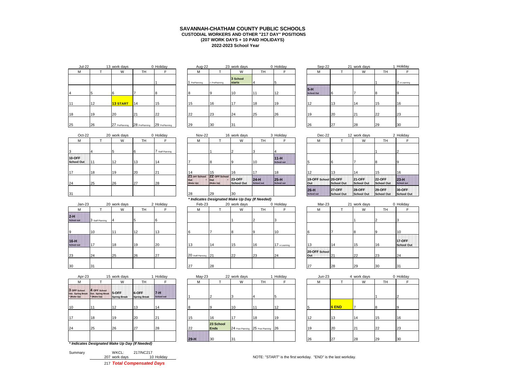## **2022-2023 School Year SAVANNAH-CHATHAM COUNTY PUBLIC SCHOOLS CUSTODIAL WORKERS AND OTHER "217 DAY" POSITIONS (207 WORK DAYS + 10 PAID HOLIDAYS)**

| <b>Jul-22</b> |    | 13 work days    |                | 0 Holiday      | Aug-22        |               | 23 work days              |           | 0 Holiday | Sep-22                     |    | 21 work days |           | 1H             |
|---------------|----|-----------------|----------------|----------------|---------------|---------------|---------------------------|-----------|-----------|----------------------------|----|--------------|-----------|----------------|
| M             |    | W               | <b>TH</b>      |                | М             |               | W                         | <b>TH</b> |           | M                          |    | W            | <b>TH</b> |                |
|               |    |                 |                |                | 1 PrePlanning | 2 PrePlanning | 3 School<br><b>starts</b> |           |           |                            |    |              |           | 2 <sub>0</sub> |
|               |    | 6               |                |                |               |               | 10                        |           | 12        | $5-H$<br><b>School Out</b> |    |              |           |                |
| 11            | 12 | <b>13 START</b> | 14             | 15             | 15            | 16            | .17                       | 18        | 19        | 12                         | 13 | 14           | 15        | 16             |
| 18            | 19 | 20              | 21             | 22             | 22            | 23            | 24                        | 25        | 26        | 19                         | 20 | 21           | 22        | 23             |
| 25            | 26 | 27 PrePlanning  | 28 PrePlanning | 29 PrePlanning | 29            | 30            | 31                        |           |           | 26                         | 27 | 28           | 29        | 30             |

| Holiday        | Aug-22      |               | 23 work days              |    | 0 Holida |
|----------------|-------------|---------------|---------------------------|----|----------|
| F              | M           |               | W                         | TН | F        |
| 1              | PrePlanning | 2 PrePlanning | 3 School<br><b>starts</b> | 4  | 5        |
| 8              | 8           | 9             | 10                        | 11 | 12       |
| 15             | 15          | 16            | 17                        | 18 | 19       |
| 22             | 22          | 23            | 24                        | 25 | 26       |
| 29 PrePlanning | 29          | 30            | 31                        |    |          |
|                |             |               |                           |    |          |

| Jul-22 |    | 13 work days                  |    | 0 Holiday      | Aug-22      |               | 23 work days              |    | 0 Holiday | Sep-22                     |    | 21 work days |           | Holiday      |
|--------|----|-------------------------------|----|----------------|-------------|---------------|---------------------------|----|-----------|----------------------------|----|--------------|-----------|--------------|
|        |    | W                             | TH |                | M           |               | W                         | TH |           | м                          |    | W            | <b>TH</b> |              |
|        |    |                               |    |                | PrePlanning | 2 PrePlanning | 3 School<br><b>starts</b> |    |           |                            |    |              |           | 2 e-Learning |
|        |    |                               |    |                |             |               | 10                        | 11 | 12        | $5-H$<br><b>School Out</b> | 6  |              |           | <b>9</b>     |
|        | 12 | <b>13 START</b>               | 14 | 15             | 15          | 16            | 17                        | 18 | 19        | 12                         | 13 | 114          | 15        | 16           |
|        | 19 | 20                            | 21 | 22             | 22          | 23            | 24                        | 25 | 26        | 19                         | 20 | 21           | 22        | 23           |
|        | 26 | 27 PrePlanning 28 PrePlanning |    | 29 PrePlanning | 29          | 30            | 31                        |    |           | 26                         | 27 | 28           | 29        | 30           |

| $Oct-22$                    |    | 20 work days |    | 0 Holiday      | Nov-22                            |                                    | 16 work days                |                             | 3 Holiday                   | Dec-22                      |                              | 12 work days                 |                             | 2H              |
|-----------------------------|----|--------------|----|----------------|-----------------------------------|------------------------------------|-----------------------------|-----------------------------|-----------------------------|-----------------------------|------------------------------|------------------------------|-----------------------------|-----------------|
| M                           |    | W            | TН |                | M                                 |                                    | W                           | <b>TH</b>                   |                             | M                           |                              | W                            | TH.                         |                 |
| 13                          |    |              |    | Staff Planning |                                   |                                    |                             |                             |                             |                             |                              |                              |                             |                 |
| 10-OFF<br><b>School Out</b> |    | 12           | 13 | 14             |                                   |                                    |                             | 10                          | $11-H$<br><b>School out</b> |                             |                              |                              |                             |                 |
| 117                         | 18 | 19           | 20 | 21             | 14                                | 15                                 | 16                          | 17                          | 18                          | 12                          | 13                           | 14                           | 15                          | 16              |
| 24                          | 25 | 26           | 27 | 28             | 21 OFF School<br>Out<br>(Make Up) | 22 OFF School<br>lout<br>(Make Up) | <b>23-OFF</b><br>School Out | $24-H$<br><b>School out</b> | $125-H$<br>School out       | 19-OFF School 20-OFF<br>Out | School Out                   | <b>21-OFF</b><br>School Out  | <b>22-OFF</b><br>School Out | 23<br>Sch       |
| 31                          |    |              |    |                | 28                                | 29                                 | 30                          |                             |                             | $26-H$<br><b>School out</b> | <b>127-OFF</b><br>School Out | <b>128-OFF</b><br>School Out | $129-OFF$<br>School Out     | 30<br><b>Sc</b> |

| $Jan-23$                    |                  | 20 work days |    | 2 Holiday | Feb-23               |    | 20 work days |    | 0 Holiday    | Mar-23               |     | 21 work days |                 | $0$ Ho          |
|-----------------------------|------------------|--------------|----|-----------|----------------------|----|--------------|----|--------------|----------------------|-----|--------------|-----------------|-----------------|
| М                           |                  | W            | TH |           | M                    |    | W            | TH |              | М                    |     | W            | TH              |                 |
| 2-H<br>School out           | 3 Staff Planning |              |    |           |                      |    |              |    |              |                      |     |              |                 |                 |
| 19                          | 10               |              | 12 | 13        |                      |    |              | חו | 10           |                      |     | 18           | $\overline{10}$ | 10              |
| $16-H$<br><b>School out</b> | 17               | 18           | 19 | 20        | 13                   | 14 | 15           | 16 | 17 e-Leaming | 13                   | 14  | 15           | 16              | 17<br><b>Sc</b> |
| 23                          | 24               | 25           | 26 | 27        | 20 Staff Planning 21 |    | 22           | 23 | 24           | 20-OFF School<br>Out | 121 | 22           | 23              | 24              |
| 30                          | 31               |              |    |           | 27                   | 28 |              |    |              | 27                   | 28  | 29           | 30              | 31              |

| Apr-23                                           |                                                        | 15 work days        |                              | Holiday                      | $May-23$ |                          | 22 work days |                                      | 1 Holiday | $Jun-23$ |              | 4 work days |           | $0$ Ho |
|--------------------------------------------------|--------------------------------------------------------|---------------------|------------------------------|------------------------------|----------|--------------------------|--------------|--------------------------------------|-----------|----------|--------------|-------------|-----------|--------|
| м                                                |                                                        | W                   | TH                           |                              | M        |                          | W            | TH                                   |           | М        |              | W           | <b>TH</b> |        |
| 3 OFF School<br>Out. Spring Break<br>* (Make Up) | 4 OFF School<br>Out. Spring Break 5-OFF<br>* (Make Up) | <b>Spring Break</b> | 6-OFF<br><b>Spring Break</b> | $7 - H$<br><b>School out</b> |          |                          |              |                                      |           |          |              |             |           |        |
| 10                                               |                                                        | 12                  | 13                           | 14                           | 8        |                          | 10           |                                      | 12        |          | <b>6 END</b> |             |           |        |
| 17                                               | 18                                                     | 19                  | 20                           | 21                           | 15       | 16                       | 17           | 18                                   | 19        | 12       | 13           | 14          | 15        | 16     |
| 24                                               | 25                                                     | 26                  | 27                           | 28                           | 22       | 23 School<br><b>Ends</b> |              | 24 Post Planning 25 Post Planning 26 |           | 19       | 20           | 21          | 22        | 23     |
|                                                  |                                                        |                     |                              |                              | $29-H$   | 30                       | 31           |                                      |           | 26       | 27           | 28          | 29        | 30     |
|                                                  | * Indicates Designated Make Up Day (If Needed)         |                     |                              |                              |          |                          |              |                                      |           |          |              |             |           |        |

|         |               | 217 Total Compensated Days |           |
|---------|---------------|----------------------------|-----------|
|         | 207 work days |                            | 10 Holida |
| Summary | WKCL:         | 217/NC217                  |           |

Oct-22 20 work days 0 Holiday Nov-22 16 work days 3 Holiday Dec-22 12 work days 2 Holiday <u>M I T | W | TH | F | W | TH | F | L M | T | W | TH | F</u> **11-H 21 OFF School Out \* (Make Up)** 22 OFF Scho **Out (Make Up) 23-OFF School Out 24-H School out 25-H School out** *\* Indicates Designated Make Up Day (If Needed)*

| $Jan-23$                    |                  | 20 work days |           | 2 Holiday | Feb-23               |    | 20 work days |           | 0 Holiday    | Mar-23               |     | 21 work days |           | 0 Holiday                 |
|-----------------------------|------------------|--------------|-----------|-----------|----------------------|----|--------------|-----------|--------------|----------------------|-----|--------------|-----------|---------------------------|
| M                           |                  | W            | <b>TH</b> |           | М                    |    | W            | <b>TH</b> |              | М                    |     | W            | <b>TH</b> |                           |
| $2-H$<br><b>School out</b>  | 3 Staff Planning |              |           |           |                      |    |              |           |              |                      |     |              |           |                           |
|                             | 10               |              | 12        | 13        |                      |    |              |           | 10           |                      |     |              |           | 10                        |
| $16-H$<br><b>School out</b> | 117              | 18           | 19        | 20        | 13                   | 14 | 15           | 16        | 17 e-Leaming | $\sqrt{2}$           | 14  | 15           | 16        | 17-OFF<br><b>School C</b> |
| 23                          | 24               | 25           | 26        | 27        | 20 Staff Planning 21 |    | 22           | 23        | 24           | 20-OFF School<br>Out | 121 | 22           | 23        | 24                        |
| 30                          | 31               |              |           |           | 27                   | 28 |              |           |              | $\sim$               | 28  | 29           | 30        | 31                        |

| Apr-23                     |                                                  | 15 work days                  |                              | Holiday                      |        | $May-23$    |           | 22 work days                         |    | Holiday | $Jun-23$ |       | 4 work days |    | 0 Holiday |
|----------------------------|--------------------------------------------------|-------------------------------|------------------------------|------------------------------|--------|-------------|-----------|--------------------------------------|----|---------|----------|-------|-------------|----|-----------|
|                            |                                                  | W                             | TH                           |                              |        | M           |           | W                                    | TН |         | М        |       | W           | TH |           |
| School<br>ing Break<br>Jp) | 4 OFF School<br>Out. Spring Break<br>* (Make Up) | 15-OFF<br><b>Spring Break</b> | 6-OFF<br><b>Spring Break</b> | $7 - 1$<br><b>School out</b> |        |             |           |                                      |    |         |          |       |             |    |           |
|                            | 11                                               | 12                            | 13                           |                              |        |             |           | 10                                   |    | 12      |          | 6 END |             |    |           |
|                            | 18                                               | 19                            | 20                           | 21                           |        | 16          |           | 117                                  | 18 | 19      | 12       | 13    | 14          | 15 | 16        |
|                            | 25                                               | 26                            | 27                           | 28                           | 22     | <b>Ends</b> | 23 School | 24 Post Planning 25 Post Planning 26 |    |         | 19       | 20    | 21          | 22 | 23        |
|                            |                                                  |                               |                              |                              | $29-H$ | 30          |           | 31                                   |    |         | 26       | 27    | 28          | 29 | 30        |
|                            | icatos Dosianatod Make Un Day (If Needed)        |                               |                              |                              |        |             |           |                                      |    |         |          |       |             |    |           |

| F                           | М                           |                                    | W                                  | TН                                 | F                           |  |
|-----------------------------|-----------------------------|------------------------------------|------------------------------------|------------------------------------|-----------------------------|--|
| 4                           |                             |                                    |                                    |                                    | 2                           |  |
| 11-H<br><b>School out</b>   | 5                           | 6                                  |                                    | 8                                  | 9                           |  |
| 18                          | 12                          | 13                                 | 14                                 | 15                                 | 16                          |  |
| $25-H$<br><b>School out</b> | 19-OFF School 20-OFF<br>Out | <b>School Out</b>                  | <b>21-OFF</b><br><b>School Out</b> | <b>22-OFF</b><br><b>School Out</b> | $23-H$<br><b>School out</b> |  |
|                             | $26-H$<br><b>School out</b> | <b>27-OFF</b><br><b>School Out</b> | <b>28-OFF</b><br><b>School Out</b> | <b>29-OFF</b><br><b>School Out</b> | 30-OFF<br><b>School Out</b> |  |

| Mar-23               |    | 21 work days |    | 0 Holiday                          |
|----------------------|----|--------------|----|------------------------------------|
| М                    |    | W            | TН | F                                  |
|                      |    |              | 2  | 3                                  |
| 6                    | 7  | 8            | 9  | 10                                 |
| 13                   | 14 | 15           | 16 | <b>17-OFF</b><br><b>School Out</b> |
| 20-OFF School<br>Out | 21 | 22           | 23 | 24                                 |
| 27                   | 28 | 20           | 30 | 31                                 |

|                          | 22 work days |                                      | 1 Holiday | $Jun-23$ |              | 4 work days    |    | 0 Holiday |
|--------------------------|--------------|--------------------------------------|-----------|----------|--------------|----------------|----|-----------|
|                          | W            | TН                                   | F         | M        |              | W              | TH | F         |
| 2                        | 'З           | 4                                    | 5         |          |              |                |    | ົ         |
| 9                        | 10           | 11                                   | 12        | 5        | <b>6 END</b> | $\overline{ }$ | 8  | 9         |
| 16                       | 17           | 18                                   | 19        | 12       | 13           | 14             | 15 | 16        |
| 23 School<br><b>Ends</b> |              | 24 Post Planning 25 Post Planning 26 |           | 19       | 20           | 21             | 22 | 23        |
| 30                       | 31           |                                      |           | 26       | 27           | 28             | 29 | 30        |

207 MOTE: "START" is the first workday. "END" is the last workday.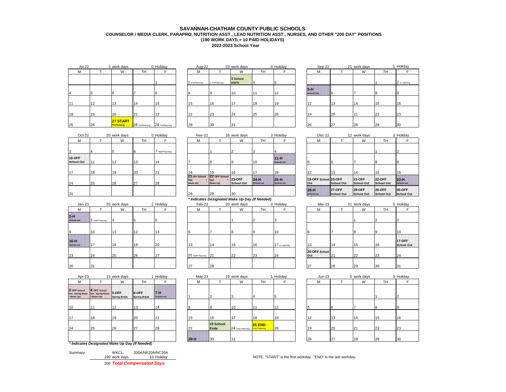## **2022-2023 School Year SAVANNAH-CHATHAM COUNTY PUBLIC SCHOOLS COUNSELOR / MEDIA CLERK, PARAPRO, NUTRITION ASST., LEAD NUTRITION ASST., NURSES, AND OTHER "200 DAY" POSITIONS (190 WORK DAYS + 10 PAID HOLIDAYS)**

| <b>Jul-22</b> |    | 3 work days             |                | 0 Holiday      | Aug-22      |               | 23 work days              |           | 0 Holiday | Sep-22                       |             | 21 work days |           | 1 Holiday    |
|---------------|----|-------------------------|----------------|----------------|-------------|---------------|---------------------------|-----------|-----------|------------------------------|-------------|--------------|-----------|--------------|
| M             |    | W                       | <b>TH</b>      |                | M           |               | W                         | <b>TH</b> |           | м                            |             | W            | <b>TH</b> |              |
|               |    |                         |                |                | PrePlanning | 2 PrePlanning | 3 School<br><b>starts</b> |           |           |                              |             |              |           | 2 e-Learning |
|               |    | 6                       |                |                |             |               | 10                        | 111       | 12        | $5 - H$<br><b>School Out</b> | $\mathbf b$ |              |           |              |
| 111           | 12 | 13                      | 14             | 15             |             | 16            | 17<br>11                  | 18        | 19        | 10                           | 13          | 14           | 15        | 16           |
| 18            | 19 | 20                      | 21             | 22             | つつ          | 23            | 24                        | 25        | 26        | 10                           | 20          |              | 22        | 23           |
| 25            | 26 | 27 START<br>PrePlanning | 28 PrePlanning | 29 PrePlanning | 29          | 30            | 31                        |           |           | 26                           | 27          | 28           | 29        | 30           |

| work days                      |                | 0 Holiday      | Aug-22      |               | 23 work days              |           | 0 Holiday | Sep-22                     |    | 21 work days |           | 1H <sub>0</sub> |
|--------------------------------|----------------|----------------|-------------|---------------|---------------------------|-----------|-----------|----------------------------|----|--------------|-----------|-----------------|
| W                              | TН             |                | М           |               | W                         | <b>TH</b> |           | М                          |    | W            | <b>TH</b> |                 |
|                                |                |                | PrePlanning | 2 PrePlanning | 3 School<br><b>starts</b> |           |           |                            |    |              |           | $ 2 \rangle$    |
|                                |                |                |             |               | 10                        |           | 12        | $5-H$<br><b>School Out</b> | 16 |              |           | 19              |
| 13                             | 14             | 15             | 15          | 16            | 17                        | 18        | 19        | 12                         | 13 | 14           | 15        | 16              |
| 20                             | 21             | 22             | 22          | 23            | 24                        | 25        | 26        | 19                         | 20 | 21           | 22        | 23              |
| 27 START<br><b>PrePlanning</b> | 28 PrePlanning | 29 PrePlanning | 29          | 30            | 31                        |           |           | 26                         | 27 | 28           | 29        | 30              |
|                                |                |                |             |               |                           |           |           |                            |    |              |           |                 |

| JUI-ZZ |    | <b>3 WUIR UAYS</b>             |                | v nolludy      | Aug-22        |               | <b>ZJ WUIK UAYS</b>       |                | v nolludy | OUD-ZZ                     |    | <b>ZI WUIK UAYS</b> |          | muluay       |
|--------|----|--------------------------------|----------------|----------------|---------------|---------------|---------------------------|----------------|-----------|----------------------------|----|---------------------|----------|--------------|
|        |    | W                              | TH             |                | M             |               | W                         | TH <sub></sub> |           | м                          |    | W                   | TН       |              |
|        |    |                                |                |                | 1 PrePlanning | 2 PrePlanning | 3 School<br><b>starts</b> |                |           |                            |    |                     |          | 2 e-Learning |
|        |    |                                |                |                |               | ١٥            | 10                        | 11             | 12        | $5-H$<br><b>School Out</b> | 6  |                     |          | חו           |
|        | 12 | 13                             | 14             | 15             | 15            | 16            | 17                        | 18             | 19        | 12                         | 13 | 14                  | 15       | 16           |
|        | 19 | 20                             | 21<br>∠∣       | 22             | 22            | 23            | 24                        | 25             | 26        | 19                         | 20 | 21                  | $\Omega$ | 23           |
|        | 26 | 27 START<br><b>PrePlanning</b> | 28 PrePlanning | 29 PrePlanning | 29            | 30            | 31                        |                |           | 26                         | 27 | 28                  | 29       | 30           |

| $Oct-22$                           |    | 20 work days |           | 0 Holiday        | <b>Nov-22</b>                     |                                    | 16 work days                |                             | 3 Holiday                   | Dec-22                      |                              | 12 work days                 |                             | 2H               |
|------------------------------------|----|--------------|-----------|------------------|-----------------------------------|------------------------------------|-----------------------------|-----------------------------|-----------------------------|-----------------------------|------------------------------|------------------------------|-----------------------------|------------------|
| M                                  |    | W            | <b>TH</b> |                  | M                                 |                                    | W                           | <b>TH</b>                   |                             | М                           |                              | W                            | TH.                         |                  |
| 13                                 |    |              | 6         | 7 Staff Planning |                                   |                                    |                             |                             |                             |                             |                              |                              |                             |                  |
| <b>10-OFF</b><br><b>School Out</b> |    | 12           | 13        | 14               |                                   |                                    |                             | 10                          | $11-H$<br><b>School out</b> |                             |                              |                              | I8                          |                  |
| 17                                 | 18 | 19           | 20        | 21               | 14                                | 15                                 | 16                          | 17                          | 18                          | 10                          | 13                           | 14                           | 15                          | 16               |
| 24                                 | 25 | 26           | 27        | 28               | 21 OFF School<br>Out<br>(Make Up) | 22 OFF School<br>lout<br>(Make Up) | <b>23-OFF</b><br>School Out | $24-H$<br><b>School out</b> | $125-H$<br>School out       | 19-OFF School 20-OFF<br>Out | School Out                   | <b>21-OFF</b><br>School Out  | <b>22-OFF</b><br>School Out | 23<br><b>Sch</b> |
| 31                                 |    |              |           |                  | 28                                | 29                                 | 30                          |                             |                             | $26-H$<br><b>School out</b> | <b>127-OFF</b><br>School Out | <b>128-OFF</b><br>School Out | $129-OFF$<br>School Out     | 30<br><b>Sc</b>  |

| $Jan-23$                    |                  | 20 work days |    | 2 Holiday | Feb-23               |    | 20 work days |    | 0 Holiday    | Mar-23               |    | 21 work days |    | $0$ Ho          |
|-----------------------------|------------------|--------------|----|-----------|----------------------|----|--------------|----|--------------|----------------------|----|--------------|----|-----------------|
| М                           |                  | W            | TH |           | M                    |    | W            | TH |              | М                    |    | W            | TH |                 |
| 2-H<br>School out           | 3 Staff Planning |              |    |           |                      |    |              |    |              |                      |    |              |    |                 |
| 9                           | 10               | 11           | 12 | 13        |                      |    |              |    | 10           |                      |    | 18           |    | 10              |
| $16-H$<br><b>School out</b> | 17               | 18           | 19 | 20        | 13                   | 14 | 15           | 16 | 17 e-Leaming | 13                   | 14 | 15           | 16 | 17<br><b>Sc</b> |
| 23                          | 24               | 25           | 26 | 27        | 20 Staff Planning 21 |    | 22           | 23 | 24           | 20-OFF School<br>Out | 21 | 22           | 23 | 24              |
| 30                          | 31               |              |    |           | 27                   | 28 |              |    |              | 27                   | 28 | 29           | 30 | 31              |

| $Oct-22$    |    | 20 work days |           | 0 Holiday      |                                   | Nov-22                                         | 16 work days                |                             | 3 Holiday                   | Dec-22                      |                              | 12 work days                 |                              | 2 Holiday                   |
|-------------|----|--------------|-----------|----------------|-----------------------------------|------------------------------------------------|-----------------------------|-----------------------------|-----------------------------|-----------------------------|------------------------------|------------------------------|------------------------------|-----------------------------|
|             |    | W            | <b>TH</b> |                | м                                 |                                                | W                           | TН                          |                             | м                           |                              | W                            | <b>TH</b>                    |                             |
|             |    |              |           | Staff Planning |                                   |                                                |                             |                             |                             |                             |                              |                              |                              |                             |
| Έ.<br>I Out | 11 | 12           | 13        | 14             |                                   |                                                |                             | 10                          | $11-H$<br><b>School out</b> |                             |                              |                              |                              |                             |
|             | 18 | 19           | 20        | 21             |                                   | 15                                             | 16                          |                             | 18                          |                             | 13                           | 14                           | 15                           | 16                          |
|             | 25 | 26           | 27        | 28             | 21 OFF School<br>Out<br>(Make Up) | 22 OFF School<br>lout<br>(Make Up)             | <b>23-OFF</b><br>School Out | $24-H$<br><b>School out</b> | $25-H$<br>School out        | 19-OFF School 20-OFF<br>Out | School Out                   | <b>21-OFF</b><br>School Out  | <b>122-OFF</b><br>School Out | $23-H$<br><b>School out</b> |
|             |    |              |           |                | 28                                | 29                                             | 30                          |                             |                             | $26-H$<br><b>School out</b> | <b>127-OFF</b><br>School Out | <b>128-OFF</b><br>School Out | <b>29-OFF</b><br>School Out  | 30-OFF<br>School C          |
|             |    |              |           |                |                                   | * Indicates Designated Make Up Day (If Needed) |                             |                             |                             |                             |                              |                              |                              |                             |

| Jan-23     |                  | 20 work days |           | 2 Holiday | Feb-23               |    | 20 work days |    | 0 Holiday    | Mar-23               |     | 21 work days |    | 0 Holiday                        |
|------------|------------------|--------------|-----------|-----------|----------------------|----|--------------|----|--------------|----------------------|-----|--------------|----|----------------------------------|
| M          |                  | W            | <b>TH</b> |           | М                    |    | W            | TН |              | М                    |     | W            | TH |                                  |
| <b>ut</b>  | 3 Staff Planning |              |           |           |                      |    |              |    |              |                      |     |              |    |                                  |
|            | 10               |              | 12        | 13        |                      |    |              |    | 10           |                      |     |              |    | 10                               |
| <b>Jut</b> | 17               | 18           | 19        | 20        | 12                   | 14 | 15           | 16 | 17 e-Leaming | 13                   | 14  | 15           | 16 | <b>17-OFF</b><br><b>School C</b> |
|            | 24               | 25           | 26        | 27        | 20 Staff Planning 21 |    | 22           | 23 | 24           | 20-OFF School<br>Out | 121 | 22           | 23 | 24                               |
|            | 31               |              |           |           | つフ                   | 28 |              |    |              | 27                   | 28  | 29           | 30 | 31                               |

| Apr-23                                         |                                                  | 15 work days                  |                                                | Holiday               | $May-23$ |                          | 19 work days     |                          | 1 Holiday | $Jun-23$ |    | 0 work days |           | 0 Holiday |
|------------------------------------------------|--------------------------------------------------|-------------------------------|------------------------------------------------|-----------------------|----------|--------------------------|------------------|--------------------------|-----------|----------|----|-------------|-----------|-----------|
|                                                |                                                  | W                             | TH                                             |                       | M        |                          | W                | TH                       |           | м        |    | W           | <b>TH</b> |           |
| 3 OFF School<br>Out. Spring Break<br>(Make Up) | 4 OFF School<br>Out. Spring Break<br>* (Make Up) | 15-OFF<br><b>Spring Break</b> | 6-OFF<br><b>Spring Break</b>                   | $7 - H$<br>School out |          |                          |                  |                          |           |          |    |             |           |           |
| 10                                             |                                                  | 12                            | 13                                             | 14                    |          |                          | 10               |                          | 12        |          |    |             |           |           |
| 17                                             | 18                                               | 19                            | 20                                             | 21                    | 15       | 16                       | 17               | 18                       | 19        |          | 13 | 14          | 15        | 16        |
| 24                                             | 25                                               | 26                            | 27                                             | 28                    | 22       | 23 School<br><b>Ends</b> | 24 Post Planning | $25$ END<br>ost Planning | 26        | 19       | 20 |             | 22        | 23        |
|                                                |                                                  |                               |                                                |                       | $29-H$   | 130                      | 31               |                          |           | 26       | 27 | 28          | 29        | 30        |
|                                                |                                                  |                               | * Indicator Designated Make Up Day (If Needed) |                       |          |                          |                  |                          |           |          |    |             |           |           |

| F                           | М                           |                                    | W                                  | TН                                 |                             |  |
|-----------------------------|-----------------------------|------------------------------------|------------------------------------|------------------------------------|-----------------------------|--|
| 4                           |                             |                                    |                                    |                                    | $\overline{2}$              |  |
| 11-H<br><b>School out</b>   | 5                           | 6                                  |                                    | 8                                  | 9                           |  |
| 18                          | 12                          | 13                                 | 14                                 | 15                                 | 16                          |  |
| $25-H$<br><b>School out</b> | 19-OFF School 20-OFF<br>Out | <b>School Out</b>                  | <b>21-OFF</b><br><b>School Out</b> | <b>22-OFF</b><br><b>School Out</b> | $23-H$<br><b>School out</b> |  |
|                             | $26-H$<br><b>School out</b> | <b>27-OFF</b><br><b>School Out</b> | <b>28-OFF</b><br><b>School Out</b> | <b>29-OFF</b><br><b>School Out</b> | 30-OFF<br><b>School Out</b> |  |

| Mar-23               |    | 21 work days |    | 0 Holiday                          |
|----------------------|----|--------------|----|------------------------------------|
| М                    |    | W            | TH | F                                  |
|                      |    |              | 2  | 3                                  |
| 6                    | 7  | 8            | 9  | 10                                 |
| 13                   | 14 | 15           | 16 | <b>17-OFF</b><br><b>School Out</b> |
| 20-OFF School<br>Out | 21 | 22           | 23 | 24                                 |
| 27                   | 28 | 29           | 30 | 31                                 |

| $May-23$ |                          | 19 work days     |                                       | 1 Holiday | $Jun-23$ |    | 0 work days |    | 0 Holiday |
|----------|--------------------------|------------------|---------------------------------------|-----------|----------|----|-------------|----|-----------|
| M        |                          | W                | TН                                    |           | M        |    | W           | TH |           |
|          | ⌒                        | 3                |                                       | 5         |          |    |             |    |           |
| 8        | 9                        | 10               | 11                                    | 12        |          | 6  |             | 8  | <b>9</b>  |
| 15       | 16                       | 17               | 18                                    | 19        | 12       | 13 | 14          | 15 | 16        |
| 22       | 23 School<br><b>Ends</b> | 24 Post Planning | <b>25 END</b><br><b>Post Planning</b> | 26        | 19       | 20 | 21          | 22 | 23        |
| $29-H$   | 30                       | 31               |                                       |           | 26       | 27 | 28          | 29 | 30        |

| .             | ____________________ |                                                                |  |
|---------------|----------------------|----------------------------------------------------------------|--|
| 190 work davs | 10 Holidav           | NOTE: "START" is the first workday. "END" is the last workday. |  |

|  | * Indicates Designated Make Up Day (If Needed) |  |  |
|--|------------------------------------------------|--|--|
|  |                                                |  |  |

**3 OFF School Out. Spring Break \* (Make Up)**

|         |               | 200 Total Companyated Dave |
|---------|---------------|----------------------------|
|         | 190 work days | 10 Holiday                 |
| Summary | WKCL:         | 200A/NE20A/NC20A           |

200 *Total Compensated Days*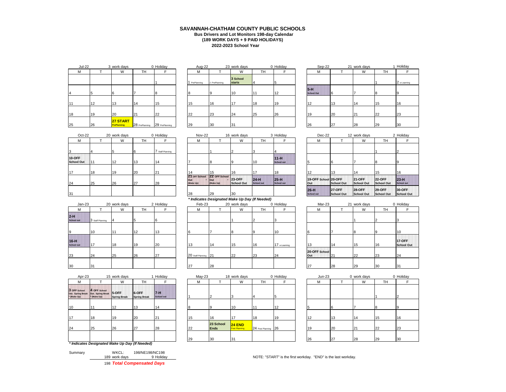## **2022-2023 School Year SAVANNAH-CHATHAM COUNTY PUBLIC SCHOOLS Bus Drivers and Lot Monitors 198-day Calendar (189 WORK DAYS + 9 PAID HOLIDAYS)**

| <b>Jul-22</b> |    | 3 work days             |                | 0 Holiday      | Aug-22        |               | 23 work days              |                | 0 Holiday | Sep-22                     |    | 21 work days |           | 1H             |
|---------------|----|-------------------------|----------------|----------------|---------------|---------------|---------------------------|----------------|-----------|----------------------------|----|--------------|-----------|----------------|
| M             |    | W                       | <b>TH</b>      |                | м             |               | W                         | TH <sub></sub> |           | M                          |    | W            | <b>TH</b> |                |
|               |    |                         |                |                | 1 PrePlanning | 2 PrePlanning | 3 School<br><b>starts</b> |                |           |                            |    |              |           | 2 <sub>0</sub> |
|               |    |                         |                |                |               |               | 10                        |                | 12        | $5-H$<br><b>School Out</b> |    |              |           |                |
| 11            | 12 | 13                      | 14             | 15             | 15            | 16            | 17                        | 18             | 19        | $\sqrt{2}$                 | 13 | 114          | 15        | 16             |
| 18            | 19 | 20                      | 21             | 22             | 22            | 23            | 24                        | 25             | 26        | 19                         | 20 | 21           | 22        | 23             |
| 25            | 26 | 27 START<br>PrePlanning | 28 PrePlanning | 29 PrePlanning | 29            | 30            | 31                        |                |           | 26                         | 27 | 28           | 29        | 30             |

| work days                      |                | 0 Holiday      | Aug-22      |               | 23 work days              |           | 0 Holiday | Sep-22                     | 21 | work days |           | 1 H          |
|--------------------------------|----------------|----------------|-------------|---------------|---------------------------|-----------|-----------|----------------------------|----|-----------|-----------|--------------|
| W                              | TН             |                | М           |               | W                         | <b>TH</b> |           | М                          |    | W         | <b>TH</b> |              |
|                                |                |                | PrePlanning | 2 PrePlanning | 3 School<br><b>starts</b> |           |           |                            |    |           |           | $ 2 \rangle$ |
|                                |                |                |             |               | 10                        |           | 12        | $5-H$<br><b>School Out</b> |    |           |           | 9            |
| 13                             | 14             | 15             | 15          | 16            | 17                        | 18        | 19        | 12                         | 13 | 114       | 15        | 16           |
| 20                             | 21             | 22             | 22          | 23            | 24                        | 25        | 26        | 19                         | 20 | 21        | 22        | 23           |
| 27 START<br><b>PrePlanning</b> | 28 PrePlanning | 29 PrePlanning | 29          | 30            | 31                        |           |           | 26                         | 27 | 28        | 29        | 30           |
|                                |                |                |             |               |                           |           |           |                            |    |           |           |              |

| Jul-22 |    | 3 work days                    |                | 0 Holiday      | Aug-22      |               | 23 work days              |    | 0 Holiday | Sep-22                     |    | 21 work days |               | Holiday      |
|--------|----|--------------------------------|----------------|----------------|-------------|---------------|---------------------------|----|-----------|----------------------------|----|--------------|---------------|--------------|
|        |    | W                              | <b>TH</b>      |                | M           |               | W                         | TH |           | M                          |    | W            | TH            |              |
|        |    |                                |                |                | PrePlanning | 2 PrePlanning | 3 School<br><b>starts</b> |    |           |                            |    |              |               | 2 e-Learning |
|        |    |                                |                |                |             |               | 10                        | 11 | 12        | $5-H$<br><b>School Out</b> |    |              |               | 9            |
|        | 12 | 12                             | 14             | 15             | 15          | 16            | 17                        | 18 | 19        | 112                        | 13 | 14           | 15            | 16           |
|        | 19 | 20                             | 21             | 22             | 22          | 23            | 24                        | 25 | 26        | 19                         | 20 | $\sim$       | <sup>22</sup> | 23           |
|        | 26 | 27 START<br><b>PrePlanning</b> | 28 PrePlanning | 29 PrePlanning | 29          | 30            | 31                        |    |           | 26                         | 27 | 28           | 29            | 30           |

| Oct-22                             |     | 20 work days |           | 0 Holiday        | Nov-22                            |                                   | 16 work days            |                             | 3 Holiday                   | Dec-22                      |                              | 12 work days                 |                             | 2H                     |
|------------------------------------|-----|--------------|-----------|------------------|-----------------------------------|-----------------------------------|-------------------------|-----------------------------|-----------------------------|-----------------------------|------------------------------|------------------------------|-----------------------------|------------------------|
| M                                  |     | W            | <b>TH</b> |                  | М                                 |                                   | W                       | TH                          |                             | M                           |                              | W                            | <b>TH</b>                   |                        |
| 3                                  |     |              |           | 7 Staff Planning |                                   |                                   |                         |                             |                             |                             |                              |                              |                             |                        |
| <b>10-OFF</b><br><b>School Out</b> | 111 | 12           | 13        | 14               |                                   |                                   |                         | 10                          | $11-H$<br><b>School out</b> |                             |                              |                              |                             |                        |
| 17                                 | 18  | 19           | 20        | 21               | 14                                | 15                                | 16                      | 17                          | 18                          | 12                          | 13                           | 14                           | 15                          | 16                     |
| 24                                 | 25  | 26           | 27        | 28               | 21 OFF School<br>Out<br>(Make Up) | 22 OFF School<br>Out<br>(Make Up) | $123-OFF$<br>School Out | $24-H$<br><b>School out</b> | $25-H$<br>School out        | 19-OFF School 20-OFF<br>Out | School Out                   | <b>121-OFF</b><br>School Out | <b>22-OFF</b><br>School Out | $\frac{23}{\text{Sc}}$ |
| 31                                 |     |              |           |                  | 28                                | 29                                | 30                      |                             |                             | $26-H$<br><b>School out</b> | <b>127-OFF</b><br>School Out | <b>128-OFF</b><br>School Out | $129-OFF$<br>School Out     | 30<br><b>Sc</b>        |

|                             |                  |              |           |           |                      | $\cdot$ |              | .         |              |                      |     |              |           |                 |
|-----------------------------|------------------|--------------|-----------|-----------|----------------------|---------|--------------|-----------|--------------|----------------------|-----|--------------|-----------|-----------------|
| $Jan-23$                    |                  | 20 work days |           | 2 Holiday | Feb-23               |         | 20 work days |           | 0 Holiday    | Mar-23               |     | 21 work days |           | $0$ Ho          |
| м                           |                  | W            | <b>TH</b> |           | М                    |         | W            | <b>TH</b> |              | м                    |     | W            | <b>TH</b> |                 |
| 2-H<br>School out           | 3 Staff Planning |              |           |           |                      |         |              |           |              |                      |     |              |           |                 |
| 9                           | 10               |              | 12        | 13        |                      |         |              |           | 10           |                      |     | 18           |           | 10              |
| $16-H$<br><b>School out</b> | 17               | 18           | 19        | 20        | 13                   | 14      | 15           | 16        | 17 e-Leaming | $\sqrt{2}$           | 14  | 15           | 16        | 17<br><b>Sc</b> |
| 23                          | 24               | 25           | 26        | 27        | 20 Staff Planning 21 |         | 22           | 23        | 24           | 20-OFF School<br>Out | 121 | 22           | 23        | 24              |
| 30                          | 31               |              |           |           | 27                   | 28      |              |           |              | 27                   | 28  | 29           | 30        | 31              |

| Apr-23                                           |                                                  | 15 work days                  |                              | Holiday                      | $May-23$ |                          | 18 work days                     |                     | 0 Holiday | $Jun-23$ |    | 0 work days |    | $0$ Ho |
|--------------------------------------------------|--------------------------------------------------|-------------------------------|------------------------------|------------------------------|----------|--------------------------|----------------------------------|---------------------|-----------|----------|----|-------------|----|--------|
| M                                                |                                                  | W                             | TH                           |                              | м        |                          | W                                | TH                  |           | м        |    | W           | TH |        |
| 3 OFF School<br>Out. Spring Break<br>* (Make Up) | 4 OFF School<br>Out. Spring Break<br>* (Make Up) | 15-OFF<br><b>Spring Break</b> | 6-OFF<br><b>Spring Break</b> | $7 - H$<br><b>School out</b> |          |                          |                                  |                     |           |          |    |             |    |        |
| 10                                               | 11                                               | 12                            | 13                           | 14                           |          |                          | 10                               |                     | 12        |          |    |             | 8  |        |
| 17                                               | 18                                               | 19                            | 20                           | 21                           | 15       | 16                       | 17                               | 18                  | 19        | 12       | 13 | 114         | 15 | 16     |
| 24                                               | 25                                               | 26                            | 27                           | 28                           | 22       | 23 School<br><b>Ends</b> | $24$ END<br><b>Post Planning</b> | 24 Post Planning 26 |           | 19       | 20 | 21          | 22 | 23     |
|                                                  |                                                  |                               |                              |                              | 29       | 30                       | 31                               |                     |           | 26       | 27 | 28          | 29 | 30     |
|                                                  | * Indicates Designated Make Up Day (If Needed)   |                               |                              |                              |          |                          |                                  |                     |           |          |    |             |    |        |

| 189 work days                       | 9 Holida |
|-------------------------------------|----------|
| 198/NE198/NC198<br>Summary<br>WKCL: |          |

|    |        |              |                |                  |                   |                         |                                                   | 3 Holiday                   |                                                |                              |                                |                             | 2 Holiday                   |
|----|--------|--------------|----------------|------------------|-------------------|-------------------------|---------------------------------------------------|-----------------------------|------------------------------------------------|------------------------------|--------------------------------|-----------------------------|-----------------------------|
|    | W      | TH           |                | М                |                   | W                       | TН                                                |                             | м                                              |                              | W                              | TH                          |                             |
|    |        | 16           | Staff Planning |                  |                   |                         |                                                   |                             |                                                |                              |                                |                             |                             |
| 11 | 12     | 13           | 14             |                  |                   |                         | 10                                                | $11-H$<br><b>School out</b> |                                                |                              |                                |                             |                             |
| 18 | 19     | 20           | 121            |                  | 15                | 16                      |                                                   | 18                          | 12                                             | 13                           | 14                             | 15                          | 16                          |
| 25 | 26     | 27           | 28             | Out<br>(Make Up) | lout<br>(Make Up) | <b>23-OFF</b>           | $24-H$<br><b>School out</b>                       | $25-H$<br>School out        | Out                                            | <b>School Out</b>            | <b>121-OFF</b><br>School Out   | <b>22-OFF</b><br>School Out | $23-H$<br><b>School out</b> |
|    |        |              |                | 28               | 29                |                         |                                                   |                             | $26-H$<br><b>School out</b>                    | <b>127-OFF</b><br>School Out | <b>28-OFF</b><br>School Out    | <b>29-OFF</b><br>School Out | 30-OFF<br>School C          |
|    |        |              |                |                  |                   |                         |                                                   |                             |                                                |                              |                                |                             |                             |
|    | Oct-22 | 20 work days |                | 0 Holiday        |                   | Nov-22<br>21 OFF School | 16 work days<br>22 OFF School<br>School Out<br>30 |                             | * Indicates Designated Make Up Day (If Needed) |                              | Dec-22<br>19-OFF School 20-OFF | 12 work days                |                             |

| Feb-23 | 20 work days |    | 0 Holida |
|--------|--------------|----|----------|
|        | M            | гн |          |
|        |              |    |          |
|        |              |    | 3        |
|        |              |    |          |
|        |              |    |          |

|                             | - 1 0 |    | ' I 4 | ∣। ∪      |                      |    |        |          | ,,,          |                      |              |    |    | ,,,             |
|-----------------------------|-------|----|-------|-----------|----------------------|----|--------|----------|--------------|----------------------|--------------|----|----|-----------------|
| $16-H$<br><b>School out</b> |       | 18 |       | <b>20</b> | $\overline{A}$       | 14 | 15     | 16       | 17 e-Leaming | $\overline{10}$      | 14           | 15 | 16 | 17<br><b>Sc</b> |
| 23                          | 24    | 25 | 26    | $\sim$    | 20 Staff Planning 21 |    | $\sim$ | $\Omega$ | 24           | 20-OFF School<br>Out | $12^{\circ}$ | 22 | 23 | 24              |
| 30                          | 31    |    |       |           | $\sim$               | 28 |        |          |              | $\sim$               | 28           | 29 | 30 | 31              |

| Apr-23        |                                                            | 15 work days                  | Holiday                      |                              |    | $May-23$ |                          | 18 work days              |                     | 0 Holiday | $Jun-23$ |    | 0 work days |           | 0 Holiday |
|---------------|------------------------------------------------------------|-------------------------------|------------------------------|------------------------------|----|----------|--------------------------|---------------------------|---------------------|-----------|----------|----|-------------|-----------|-----------|
|               |                                                            | W                             | <b>TH</b>                    |                              |    | М        |                          | W                         | TН                  |           | М        |    | W           | <b>TH</b> |           |
| School<br>Jp) | 4 OFF School<br>ing Break Out. Spring Break<br>* (Make Up) | 15-OFF<br><b>Spring Break</b> | 6-OFF<br><b>Spring Break</b> | $7 - 1$<br><b>School out</b> |    |          |                          |                           |                     |           |          |    |             |           |           |
|               | 11                                                         | 12                            | 13                           | 14                           |    |          |                          | 10                        |                     | 12        |          |    |             |           |           |
|               | 18                                                         | 19                            | 20                           | 121                          | 15 |          | 16                       | 17                        | 18                  | 19        | 12       | 13 | 14          | 15        | 16        |
|               | 25                                                         | 26                            | 27                           | 28                           | 22 |          | 23 School<br><b>Ends</b> | $24$ END<br>Post Planning | 24 Post Planning 26 |           | 19       | 20 | 21          | 22        | 23        |
|               |                                                            |                               |                              |                              | 29 |          | 30                       | 31                        |                     |           | 26       | 27 | <b>28</b>   | 29        | 30        |
|               | icatos Dosianatod Make Un Day (If Needed)                  |                               |                              |                              |    |          |                          |                           |                     |           |          |    |             |           |           |

| F                           | М                           |                                    | W                                  | TН                                 |                              |  |
|-----------------------------|-----------------------------|------------------------------------|------------------------------------|------------------------------------|------------------------------|--|
| 4                           |                             |                                    |                                    |                                    | 2                            |  |
| $11-H$<br><b>School out</b> | 5                           | 6                                  |                                    | 8                                  | 9                            |  |
| 18                          | 12                          | 13                                 | 14                                 | 15                                 | 16                           |  |
| $25-H$<br><b>School out</b> | 19-OFF School 20-OFF<br>Out | <b>School Out</b>                  | <b>21-OFF</b><br><b>School Out</b> | <b>22-OFF</b><br><b>School Out</b> | $123-H$<br><b>School out</b> |  |
|                             | $26-H$<br><b>School out</b> | <b>27-OFF</b><br><b>School Out</b> | <b>28-OFF</b><br><b>School Out</b> | <b>29-OFF</b><br><b>School Out</b> | 30-OFF<br><b>School Out</b>  |  |

|             |                  |              |    |           |                      | . . |              | .         |              |                      |    |              |          |                                    |
|-------------|------------------|--------------|----|-----------|----------------------|-----|--------------|-----------|--------------|----------------------|----|--------------|----------|------------------------------------|
| Jan-23      |                  | 20 work days |    | 2 Holiday | Feb-23               |     | 20 work days |           | 0 Holiday    | Mar-23               |    | 21 work days |          | 0 Holiday                          |
| м           |                  | W            | TH |           | М                    |     | W            | <b>TH</b> |              | M                    |    | W            | TH       |                                    |
| <b>TIL</b>  | 3 Staff Planning |              |    | 16        |                      |     |              |           |              |                      |    |              |          |                                    |
|             | 10               |              | 12 | 12        |                      |     |              |           | 10           | -6                   |    |              |          | 10                                 |
| <b>STIP</b> | 117              | 18           | 19 | 20        | 13                   | 14  | 15           | 16        | 17 e-Leaming | 13                   | 14 | 15           | 16       | <b>17-OFF</b><br><b>School Out</b> |
|             | 24               | 25           | 26 | 27        | 20 Staff Planning 21 |     | 22           | 23        | 24           | 20-OFF School<br>Out | 21 | 22           | 23       | 24                                 |
|             | 31               |              |    |           | 27                   | 28  |              |           |              | 27                   | 28 | 29           | $30^{3}$ | 31                                 |

| work days                      |                  | 0 Holiday | $Jun-23$ |    | 0 work days |    | 0 Holiday |
|--------------------------------|------------------|-----------|----------|----|-------------|----|-----------|
| W                              | TН               | F         | M        |    | W           | TН | F         |
|                                |                  |           |          |    |             |    |           |
| 3                              | $\overline{4}$   | 5         |          |    |             |    | 2         |
| 10                             | 11               | 12        | 5        | 6  |             | 8  | 9         |
| 17                             | 18               | 19        | 12       | 13 | 14          | 15 | 16        |
| <b>24 END</b><br>Post Planning | 24 Post Planning | 26        | 19       | 20 | 21          | 22 | 23        |
| 31                             |                  |           | 26       | 27 | 28          | 29 | 30        |

189 MOTE: "START" is the first workday. "END" is the last workday.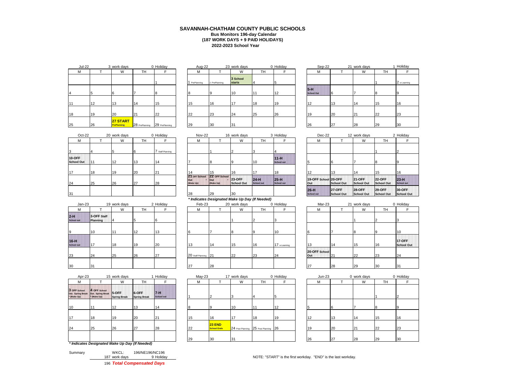## **2022-2023 School Year SAVANNAH-CHATHAM COUNTY PUBLIC SCHOOLS Bus Monitors 196-day Calendar (187 WORK DAYS + 9 PAID HOLIDAYS)**

| <b>Jul-22</b> |    | 3 work days             |                | 0 Holiday      | Aug-22        |               | 23 work days              |                | 0 Holiday | Sep-22                     |    | 21 work days |           | 1H             |
|---------------|----|-------------------------|----------------|----------------|---------------|---------------|---------------------------|----------------|-----------|----------------------------|----|--------------|-----------|----------------|
| M             |    | W                       | <b>TH</b>      |                | м             |               | W                         | TH <sub></sub> |           | M                          |    | W            | <b>TH</b> |                |
|               |    |                         |                |                | 1 PrePlanning | 2 PrePlanning | 3 School<br><b>starts</b> |                |           |                            |    |              |           | 2 <sub>0</sub> |
|               |    |                         |                |                |               |               | 10                        |                | 12        | $5-H$<br><b>School Out</b> |    |              |           |                |
| 11            | 12 | 13                      | 14             | 15             | 15            | 16            | 17                        | 18             | 19        | $\sqrt{2}$                 | 13 | 114          | 15        | 16             |
| 18            | 19 | 20                      | 21             | 22             | 22            | 23            | 24                        | 25             | 26        | 19                         | 20 | 21           | 22        | 23             |
| 25            | 26 | 27 START<br>PrePlanning | 28 PrePlanning | 29 PrePlanning | 29            | 30            | 31                        |                |           | 26                         | 27 | 28           | 29        | 30             |

| work days                      | 0 Holiday      |                | Aug-22      |               | 23 work days              |           | 0 Holiday | Sep-22                     | 21 | work days |           | 1 H          |
|--------------------------------|----------------|----------------|-------------|---------------|---------------------------|-----------|-----------|----------------------------|----|-----------|-----------|--------------|
| W                              | TН             |                | М           |               | W                         | <b>TH</b> |           | М                          |    | W         | <b>TH</b> |              |
|                                |                |                | PrePlanning | 2 PrePlanning | 3 School<br><b>starts</b> |           |           |                            |    |           |           | $ 2 \rangle$ |
|                                |                |                |             |               | 10                        |           | 12        | $5-H$<br><b>School Out</b> |    |           |           | 9            |
| 13                             | 14             | 15             | 15          | 16            | 17                        | 18        | 19        | 12                         | 13 | 114       | 15        | 16           |
| 20                             | 21             | 22             | 22          | 23            | 24                        | 25        | 26        | 19                         | 20 | 21        | 22        | 23           |
| 27 START<br><b>PrePlanning</b> | 28 PrePlanning | 29 PrePlanning | 29          | 30            | 31                        |           |           | 26                         | 27 | 28        | 29        | 30           |
|                                |                |                |             |               |                           |           |           |                            |    |           |           |              |

| Jul-22 |    | 3 work days                    |                | 0 Holiday      | Aug-22      |               | 23 work days              |           | 0 Holiday | Sep-22                     |    | 21 work days |           | Holiday      |  |
|--------|----|--------------------------------|----------------|----------------|-------------|---------------|---------------------------|-----------|-----------|----------------------------|----|--------------|-----------|--------------|--|
|        |    | W                              | TH             |                | M           |               | W                         | <b>TH</b> |           | M                          |    | W            | <b>TH</b> |              |  |
|        |    |                                |                |                | PrePlanning | 2 PrePlanning | 3 School<br><b>starts</b> |           |           |                            |    |              |           | 2 e-Learning |  |
|        |    |                                |                |                |             |               | 10                        | 11        | 12        | $5-H$<br><b>School Out</b> | 6  |              |           |              |  |
|        | 12 | $\sim$                         | 14             | 15             | 15          | 16            | 47                        | 18        | 19        | 12                         | 13 | 14           | 15        | 16           |  |
|        | 19 | 20                             | 21             | 22             | 22          | 23            | 24                        | 25        | 26        | 19                         | 20 | 21           | 22        | 23           |  |
|        | 26 | 27 START<br><b>PrePlanning</b> | 28 PrePlanning | 29 PrePlanning | 29          | 30            | 31                        |           |           | 26                         | 27 | 28           | 29        | 30           |  |

| Oct-22                      |    | 20 work days |    | 0 Holiday        | Nov-22                            |                                    | 16 work days                |                             | 3 Holiday                   | Dec-22                      |                              | 12 work days                 |                             | 2H                     |
|-----------------------------|----|--------------|----|------------------|-----------------------------------|------------------------------------|-----------------------------|-----------------------------|-----------------------------|-----------------------------|------------------------------|------------------------------|-----------------------------|------------------------|
| M                           |    | W            | TH |                  | M                                 |                                    | W                           | TH <sub></sub>              |                             | м                           |                              | W                            | TH.                         |                        |
| 3                           |    |              |    | 7 Staff Planning |                                   |                                    |                             |                             |                             |                             |                              |                              |                             |                        |
| 10-OFF<br><b>School Out</b> |    | 12           | 13 | 14               |                                   |                                    |                             | 10                          | $11-H$<br><b>School out</b> |                             |                              |                              | <b>R</b>                    |                        |
| 17                          | 18 | 19           | 20 | 21               | 14                                | 15                                 | 16                          | 17                          | 18                          | 12                          | 13                           | 114                          | 15                          | 16                     |
| 24                          | 25 | 26           | 27 | 28               | 21 OFF School<br>Out<br>(Make Up) | 22 OFF School<br>lOut<br>(Make Up) | <b>23-OFF</b><br>School Out | $24-H$<br><b>School out</b> | $25-H$<br>School out        | 19-OFF School 20-OFF<br>Out | School Out                   | <b>121-OFF</b><br>School Out | <b>22-OFF</b><br>School Out | $\frac{23}{\text{Sc}}$ |
| 31                          |    |              |    |                  | 28                                | 29                                 | 30                          |                             |                             | $26-H$<br><b>School out</b> | <b>127-OFF</b><br>School Out | <b>128-OFF</b><br>School Out | $129-OFF$<br>School Out     | 30<br><b>Sc</b>        |

|                             |                         |              |           |           |                      | $\cdot$ |              | .              |              |                      |    |              |           |                 |
|-----------------------------|-------------------------|--------------|-----------|-----------|----------------------|---------|--------------|----------------|--------------|----------------------|----|--------------|-----------|-----------------|
| $Jan-23$                    |                         | 19 work days |           | 2 Holiday | Feb-23               |         | 20 work days |                | 0 Holiday    | Mar-23               |    | 21 work days |           | $0$ Ho          |
| м                           |                         | W            | <b>TH</b> |           | м                    |         | W            | TH <sub></sub> |              | м                    |    | W            | <b>TH</b> |                 |
| $2-H$<br><b>School out</b>  | 3-OFF Staff<br>Planning |              |           |           |                      |         |              |                |              |                      |    |              |           |                 |
| 9                           | 10                      |              | 12        | 13        |                      |         |              |                | 10           |                      |    | 18           |           | 10              |
| $16-H$<br><b>School out</b> | 17                      | 18           | 19        | 20        | 13                   | 14      | 15           | 16             | 17 e-Leaming | $\overline{ }$       | 14 | 15           | 16        | 17<br><b>Sc</b> |
| 23                          | 24                      | 25           | 26        | 27        | 20 Staff Planning 21 |         | 22           | 23             | 24           | 20-OFF School<br>Out | 21 | 22           | 23        | 24              |
| 30                          | 31                      |              |           |           | 27                   | 28      |              |                |              | 27                   | 28 | 29           | 30        | 31              |

| 31                          |                         |              |           |           |    | 28                   | 29                                             | 30           |                |              | <b>School out</b>    | School Out | School Out   | School Out | School C                  |
|-----------------------------|-------------------------|--------------|-----------|-----------|----|----------------------|------------------------------------------------|--------------|----------------|--------------|----------------------|------------|--------------|------------|---------------------------|
|                             |                         |              |           |           |    |                      | * Indicates Designated Make Up Day (If Needed) |              |                |              |                      |            |              |            |                           |
| $Jan-23$                    |                         | 19 work days |           | 2 Holiday |    | Feb-23               |                                                | 20 work days |                | 0 Holiday    | Mar-23               |            | 21 work days |            | 0 Holiday                 |
| м                           |                         | W            | <b>TH</b> |           |    | М                    |                                                | W            | <b>TH</b>      |              | М                    |            | W            | <b>TH</b>  |                           |
| $2-H$<br><b>School out</b>  | 3-OFF Staff<br>Planning |              |           |           |    |                      |                                                |              |                |              |                      |            |              |            |                           |
|                             | 10                      | 11           | 12        | 13        |    |                      |                                                |              | $\overline{9}$ | 10           |                      |            | $\mathbf{8}$ | 9          | 10                        |
| $16-H$<br><b>School out</b> | 17                      | 18           | 19        | 20        |    | 13                   | 14                                             | 15           | 16             | 17 e-Leaming | 13                   | 14         | 15           | 16         | 17-OFF<br><b>School C</b> |
| 23                          | 24                      | 25           | 26        | 27        |    | 20 Staff Planning 21 |                                                | 22           | 23             | 24           | 20-OFF School<br>Out | 21         | 22           | 23         | 24                        |
| 30                          | 31                      |              |           |           | 27 |                      | 28                                             |              |                |              | 27                   | 28         | 29           | 30         | 31                        |
|                             |                         |              |           |           |    |                      |                                                |              |                |              |                      |            |              |            |                           |

|                  | 11                                     | 12                  | 13                           | 14                            |                      |    | 10           |           | 12           |                      |    |             | <sub>R</sub> |                           |
|------------------|----------------------------------------|---------------------|------------------------------|-------------------------------|----------------------|----|--------------|-----------|--------------|----------------------|----|-------------|--------------|---------------------------|
| ing Break<br>Jp) | Out. Spring Break 5-OFF<br>* (Make Up) | <b>Spring Break</b> | 6-OFF<br><b>Spring Break</b> | $7 - 11$<br><b>School out</b> |                      |    |              |           |              |                      |    |             |              |                           |
| School           | 4 OFF School                           |                     |                              |                               |                      |    |              |           |              |                      |    |             |              |                           |
|                  |                                        | W                   | <b>TH</b>                    |                               | M                    |    | W            | <b>TH</b> | Е            | M                    |    | W           | <b>TH</b>    | F                         |
| Apr-23           |                                        | 15 work days        |                              | Holiday                       | $May-23$             |    | 17 work days |           | 0 Holiday    | $Jun-23$             |    | 0 work days |              | 0 Holiday                 |
|                  | 31                                     |                     |                              |                               | 27                   | 28 |              |           |              | 27                   | 28 | 29          | 30           | 31                        |
|                  | 24                                     | 25                  | 26                           | 27                            | 20 Staff Planning 21 |    | 22           | 23        | 24           | 20-OFF School<br>Out | 21 | 22          | 23           | 24                        |
| ut               | 117                                    | 18                  | 19                           | 20                            | 13                   | 14 | 15           | 16        | 17 e-Leaming | 13                   | 14 | 15          | 16           | 17-OFF<br><b>School C</b> |
|                  | 10                                     | 11                  | 12                           | 13                            |                      |    | 8            |           | 10           |                      |    | 1ŏ.         | -9           | 10                        |

| * (Make Up) | 3 OFF School 4 OFF School<br>Out. Spring Break Out. Spring Break 5-OFF<br>* (Make Up) | <b>Spring Break</b> | 6-OFF<br><b>Spring Break</b> | $7 - H$<br><b>School out</b> |          |                                     |                |                                      |          |     |    |    |    |    |
|-------------|---------------------------------------------------------------------------------------|---------------------|------------------------------|------------------------------|----------|-------------------------------------|----------------|--------------------------------------|----------|-----|----|----|----|----|
| 10          |                                                                                       | 12                  | '13                          |                              |          |                                     | $10^{-1}$      |                                      | 12<br>14 |     |    |    |    |    |
| 17          | 18                                                                                    | 19                  | 20                           | 21                           | 15       | 16                                  | $\overline{A}$ | 18                                   | 19       | 112 | 13 | 14 | 15 | 16 |
| 24          | 25                                                                                    | 26                  | 27                           | 28                           | $\Omega$ | <b>23 END</b><br><b>School Ends</b> |                | 24 Post Planning 25 Post Planning 26 |          | 19  | 20 | 21 | 22 | 23 |
|             |                                                                                       |                     |                              |                              | 29       | 30                                  |                |                                      |          | 26  | ົ  | 28 | 29 | 30 |

*\* Indicates Designated Make Up Day (If Needed)*

**3 OFF School** 

|         |               | 100 Total Componented Dave |
|---------|---------------|----------------------------|
|         | 187 work days | 9 Holida                   |
| Summary | WKCL:         | 196/NE196/NC196            |
|         |               |                            |

196 *Total Compensated Days*

| Oct-22     |     | 20 work days |    | 0 Holiday      | Nov-22                            |                                                 | 16 work days                |                             | 3 Holiday                   | Dec-22                      |                              | 12 work days                 |                             | 2 Holiday                 |
|------------|-----|--------------|----|----------------|-----------------------------------|-------------------------------------------------|-----------------------------|-----------------------------|-----------------------------|-----------------------------|------------------------------|------------------------------|-----------------------------|---------------------------|
|            |     | W            | TH |                | М                                 |                                                 | W                           | TН                          |                             | М                           |                              | W                            | TH                          |                           |
|            |     |              |    | Staff Planning |                                   |                                                 |                             |                             |                             |                             |                              |                              |                             |                           |
| F<br>I Out | 111 | 12           | 13 |                |                                   |                                                 |                             | 10                          | $11-H$<br><b>School out</b> |                             |                              |                              |                             |                           |
|            | 18  | 19           | 20 | 21             |                                   | 15                                              | 16                          |                             | 18                          | 12                          | 13                           | 14                           | 15                          | 16                        |
|            | 25  | 26           | 27 | 28             | 21 OFF School<br>Out<br>(Make Up) | 22 OFF School<br>lout<br>(Make Up)              | <b>23-OFF</b><br>School Out | $24-H$<br><b>School out</b> | $25-H$<br>School out        | 19-OFF School 20-OFF<br>Out | School Out                   | <b>121-OFF</b><br>School Out | <b>22-OFF</b><br>School Out | $123-H$<br>School out     |
|            |     |              |    |                | 28                                | 29                                              | 30                          |                             |                             | $26-H$<br><b>School out</b> | <b>127-OFF</b><br>School Out | <b>128-OFF</b><br>School Out | $129-OFF$<br>School Out     | <b>30-OFF</b><br>School C |
|            |     |              |    |                |                                   | * Indicates Designated Make IIn Day (If Needed) |                             |                             |                             |                             |                              |                              |                             |                           |

## *\* Indicates Designated Make Up Day (If Needed)*

| LAD-59         |    | <b>ZU WUIK UAYS</b> |                | v nolludy    |
|----------------|----|---------------------|----------------|--------------|
| M              | т  | W                   | TH             | F            |
|                |    | 1                   | $\overline{2}$ | 3            |
|                |    |                     |                |              |
|                | 7  | 8                   | 9              | 10           |
|                |    |                     |                |              |
| š              | 14 | 15                  | 16             | 17 e-Leaming |
| Staff Planning | 21 | 22                  | 23             | 24           |
| ,              |    |                     |                |              |
|                | 28 |                     |                |              |

| Holiday                    | $May-23$ |                                     | 17 work days |                                      | 0 Holiday | $Jun-23$ |    | 0 work days |           | $0$ Ho |
|----------------------------|----------|-------------------------------------|--------------|--------------------------------------|-----------|----------|----|-------------|-----------|--------|
|                            | M        |                                     | W            | TН                                   |           | M        |    | W           | <b>TH</b> |        |
| $7-H$<br><b>School out</b> |          |                                     |              |                                      | 5         |          |    |             |           | 2      |
| 14                         |          |                                     | 10           | 11                                   | 12        |          |    |             |           | 9      |
| 21                         | 15       | 16                                  | 17           | 18                                   | 19        | 12       | 13 | 14          | 15        | 16     |
| 28                         | 22       | <b>23 END</b><br><b>School Ends</b> |              | 24 Post Planning 25 Post Planning 26 |           | 19       | 20 | 21          | 22        | 23     |
|                            | 29       | 30                                  | 31           |                                      |           | 26       | 27 | 28          | 29        | 30     |

|                             | М                           |                                    | W                                  | TН                                 |                             |  |
|-----------------------------|-----------------------------|------------------------------------|------------------------------------|------------------------------------|-----------------------------|--|
| 4                           |                             |                                    |                                    |                                    | $\overline{2}$              |  |
| $11-H$<br><b>School out</b> | 5                           | 6                                  |                                    | 8                                  | 9                           |  |
| 18                          | 12                          | 13                                 | 14                                 | 15                                 | 16                          |  |
| $25-H$<br><b>School out</b> | 19-OFF School 20-OFF<br>Out | <b>School Out</b>                  | <b>21-OFF</b><br><b>School Out</b> | <b>22-OFF</b><br><b>School Out</b> | $23-H$<br><b>School out</b> |  |
|                             | $26-H$<br><b>School out</b> | <b>27-OFF</b><br><b>School Out</b> | <b>28-OFF</b><br><b>School Out</b> | <b>29-OFF</b><br><b>School Out</b> | 30-OFF<br><b>School Out</b> |  |

| Mar-23               |    | 21 work days |    | 0 Holiday                          |
|----------------------|----|--------------|----|------------------------------------|
| М                    |    | W            | TH | F                                  |
|                      |    |              | 2  | 3                                  |
| 6                    | 7  | 8            | 9  | 10                                 |
| 13                   | 14 | 15           | 16 | <b>17-OFF</b><br><b>School Out</b> |
| 20-OFF School<br>Out | 21 | 22           | 23 | 24                                 |
| 27                   | 28 | 29           | 30 | 31                                 |

|                              | 17 work days     |                  | 0 Holiday | $Jun-23$ |    | 0 work days |    | 0 Holiday |
|------------------------------|------------------|------------------|-----------|----------|----|-------------|----|-----------|
|                              | W                | TН               | F         | M        |    | W           | TH | F         |
|                              |                  |                  |           |          |    |             |    |           |
| $\overline{2}$               | 3                | 4                | 5         |          |    |             |    | ົ         |
|                              |                  |                  |           |          |    |             |    |           |
| 9                            | 10               | 11               | 12        | 5        | 6  |             | 8  | 9         |
| 16                           | 17               | 18               | 19        | 12       | 13 | 14          | 15 | 16        |
| 23 END<br><b>School Ends</b> | 24 Post Planning | 25 Post Planning | 26        | 19       | 20 | 21          | 22 | 23        |
| 30                           | 31               |                  |           | 26       | 27 | 28          | 29 | 30        |

187 work days 187 MOTE: "START" is the first workday. "END" is the last workday.